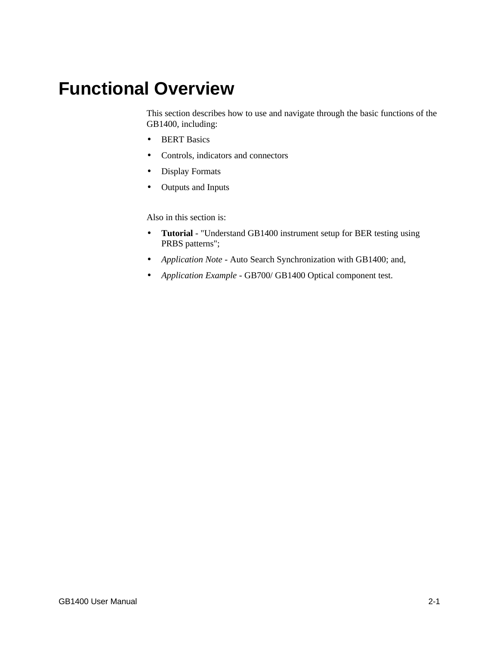# **Functional Overview**

This section describes how to use and navigate through the basic functions of the GB1400, including:

- BERT Basics
- Controls, indicators and connectors
- Display Formats
- Outputs and Inputs

Also in this section is:

- **Tutorial** "Understand GB1400 instrument setup for BER testing using PRBS patterns";
- *Application Note* Auto Search Synchronization with GB1400; and,
- *Application Example* GB700/ GB1400 Optical component test.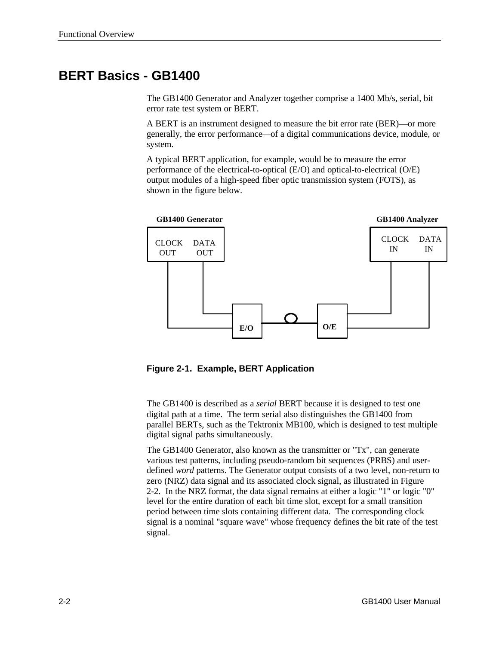# **BERT Basics - GB1400**

The GB1400 Generator and Analyzer together comprise a 1400 Mb/s, serial, bit error rate test system or BERT.

A BERT is an instrument designed to measure the bit error rate (BER)—or more generally, the error performance—of a digital communications device, module, or system.

A typical BERT application, for example, would be to measure the error performance of the electrical-to-optical (E/O) and optical-to-electrical (O/E) output modules of a high-speed fiber optic transmission system (FOTS), as shown in the figure below.



**Figure 2-1. Example, BERT Application**

The GB1400 is described as a *serial* BERT because it is designed to test one digital path at a time. The term serial also distinguishes the GB1400 from parallel BERTs, such as the Tektronix MB100, which is designed to test multiple digital signal paths simultaneously.

The GB1400 Generator, also known as the transmitter or "Tx", can generate various test patterns, including pseudo-random bit sequences (PRBS) and userdefined *word* patterns. The Generator output consists of a two level, non-return to zero (NRZ) data signal and its associated clock signal, as illustrated in Figure 2-2. In the NRZ format, the data signal remains at either a logic "1" or logic "0" level for the entire duration of each bit time slot, except for a small transition period between time slots containing different data. The corresponding clock signal is a nominal "square wave" whose frequency defines the bit rate of the test signal.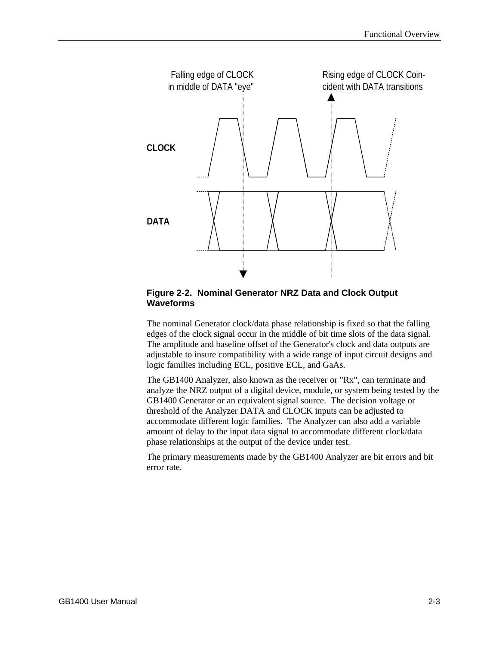

#### **Figure 2-2. Nominal Generator NRZ Data and Clock Output Waveforms**

The nominal Generator clock/data phase relationship is fixed so that the falling edges of the clock signal occur in the middle of bit time slots of the data signal. The amplitude and baseline offset of the Generator's clock and data outputs are adjustable to insure compatibility with a wide range of input circuit designs and logic families including ECL, positive ECL, and GaAs.

The GB1400 Analyzer, also known as the receiver or "Rx", can terminate and analyze the NRZ output of a digital device, module, or system being tested by the GB1400 Generator or an equivalent signal source. The decision voltage or threshold of the Analyzer DATA and CLOCK inputs can be adjusted to accommodate different logic families. The Analyzer can also add a variable amount of delay to the input data signal to accommodate different clock/data phase relationships at the output of the device under test.

The primary measurements made by the GB1400 Analyzer are bit errors and bit error rate.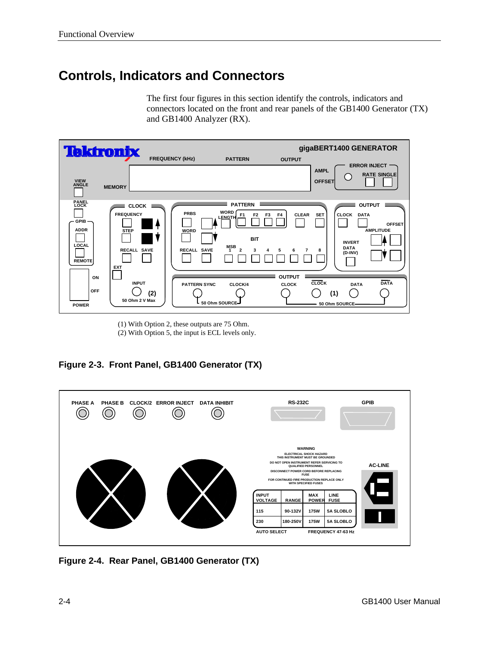# **Controls, Indicators and Connectors**

The first four figures in this section identify the controls, indicators and connectors located on the front and rear panels of the GB1400 Generator (TX) and GB1400 Analyzer (RX).



(1) With Option 2, these outputs are 75 Ohm.

(2) With Option 5, the input is ECL levels only.

**Figure 2-3. Front Panel, GB1400 Generator (TX)**



**Figure 2-4. Rear Panel, GB1400 Generator (TX)**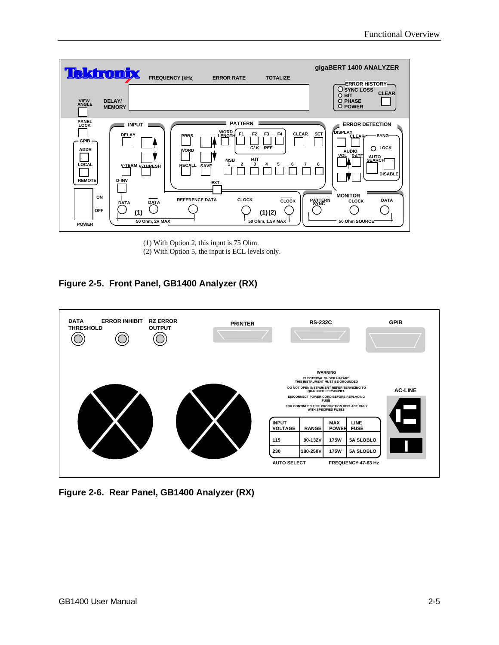

(1) With Option 2, this input is 75 Ohm.

(2) With Option 5, the input is ECL levels only.

# **Figure 2-5. Front Panel, GB1400 Analyzer (RX)**



# **Figure 2-6. Rear Panel, GB1400 Analyzer (RX)**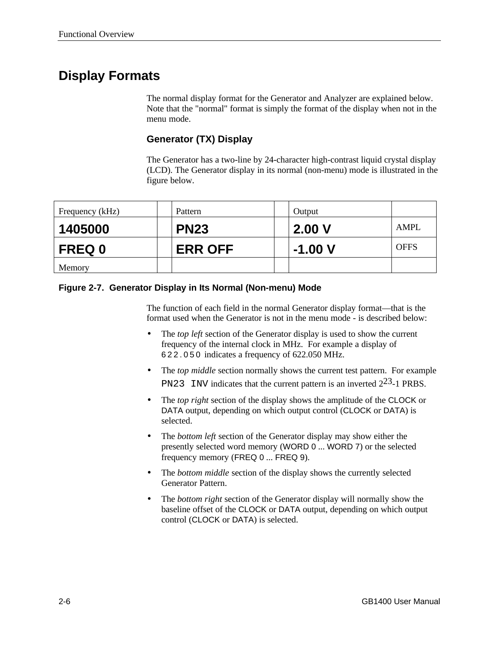# **Display Formats**

The normal display format for the Generator and Analyzer are explained below. Note that the "normal" format is simply the format of the display when not in the menu mode.

# **Generator (TX) Display**

The Generator has a two-line by 24-character high-contrast liquid crystal display (LCD). The Generator display in its normal (non-menu) mode is illustrated in the figure below.

| Frequency (kHz) | Pattern        | Output   |             |
|-----------------|----------------|----------|-------------|
| 1405000         | <b>PN23</b>    | 2.00V    | <b>AMPL</b> |
| <b>FREQ 0</b>   | <b>ERR OFF</b> | $-1.00V$ | <b>OFFS</b> |
| Memory          |                |          |             |

#### **Figure 2-7. Generator Display in Its Normal (Non-menu) Mode**

The function of each field in the normal Generator display format—that is the format used when the Generator is not in the menu mode - is described below:

- The *top left* section of the Generator display is used to show the current frequency of the internal clock in MHz. For example a display of 622.050 indicates a frequency of 622.050 MHz.
- The *top middle* section normally shows the current test pattern. For example PN23 INV indicates that the current pattern is an inverted  $2^{23}$ -1 PRBS.
- The *top right* section of the display shows the amplitude of the CLOCK or DATA output, depending on which output control (CLOCK or DATA) is selected.
- The *bottom left* section of the Generator display may show either the presently selected word memory (WORD 0 ... WORD 7) or the selected frequency memory (FREQ 0 ... FREQ 9).
- The *bottom middle* section of the display shows the currently selected Generator Pattern.
- The *bottom right* section of the Generator display will normally show the baseline offset of the CLOCK or DATA output, depending on which output control (CLOCK or DATA) is selected.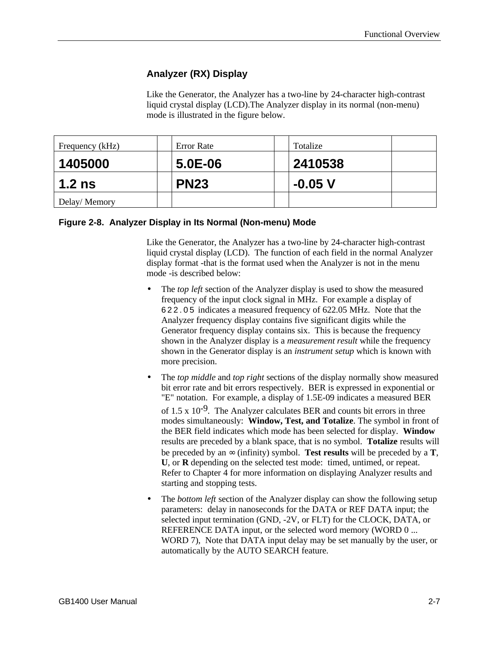# **Analyzer (RX) Display**

Like the Generator, the Analyzer has a two-line by 24-character high-contrast liquid crystal display (LCD).The Analyzer display in its normal (non-menu) mode is illustrated in the figure below.

| Frequency (kHz) | Error Rate  | Totalize  |  |
|-----------------|-------------|-----------|--|
| 1405000         | $5.0E-06$   | 2410538   |  |
| $1.2$ ns        | <b>PN23</b> | $-0.05$ V |  |
| Delay/Memory    |             |           |  |

#### **Figure 2-8. Analyzer Display in Its Normal (Non-menu) Mode**

Like the Generator, the Analyzer has a two-line by 24-character high-contrast liquid crystal display (LCD). The function of each field in the normal Analyzer display format -that is the format used when the Analyzer is not in the menu mode -is described below:

- The *top left* section of the Analyzer display is used to show the measured frequency of the input clock signal in MHz. For example a display of 622.05 indicates a measured frequency of 622.05 MHz. Note that the Analyzer frequency display contains five significant digits while the Generator frequency display contains six. This is because the frequency shown in the Analyzer display is a *measurement result* while the frequency shown in the Generator display is an *instrument setup* which is known with more precision.
- The *top middle* and *top right* sections of the display normally show measured bit error rate and bit errors respectively. BER is expressed in exponential or "E" notation. For example, a display of 1.5E-09 indicates a measured BER of 1.5 x  $10^{-9}$ . The Analyzer calculates BER and counts bit errors in three modes simultaneously: **Window, Test, and Totalize**. The symbol in front of the BER field indicates which mode has been selected for display. **Window** results are preceded by a blank space, that is no symbol. **Totalize** results will be preceded by an  $\infty$  (infinity) symbol. **Test results** will be preceded by a **T**, **U**, or **R** depending on the selected test mode: timed, untimed, or repeat. Refer to Chapter 4 for more information on displaying Analyzer results and starting and stopping tests.
- The *bottom left* section of the Analyzer display can show the following setup parameters: delay in nanoseconds for the DATA or REF DATA input; the selected input termination (GND, -2V, or FLT) for the CLOCK, DATA, or REFERENCE DATA input, or the selected word memory (WORD 0 ... WORD 7), Note that DATA input delay may be set manually by the user, or automatically by the AUTO SEARCH feature.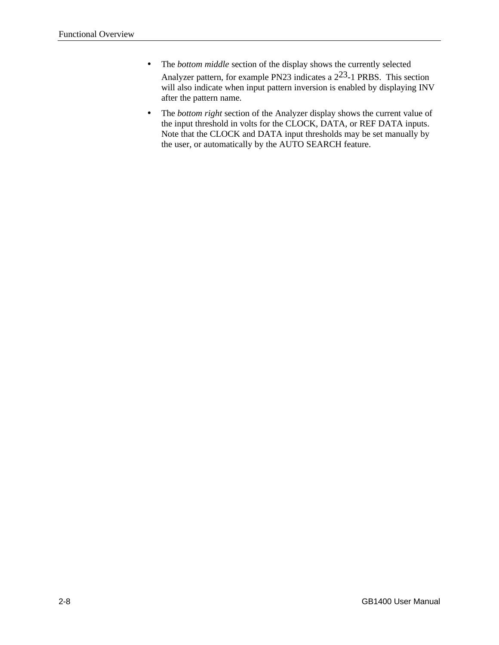- The *bottom middle* section of the display shows the currently selected Analyzer pattern, for example PN23 indicates a 223-1 PRBS. This section will also indicate when input pattern inversion is enabled by displaying INV after the pattern name.
- The *bottom right* section of the Analyzer display shows the current value of the input threshold in volts for the CLOCK, DATA, or REF DATA inputs. Note that the CLOCK and DATA input thresholds may be set manually by the user, or automatically by the AUTO SEARCH feature.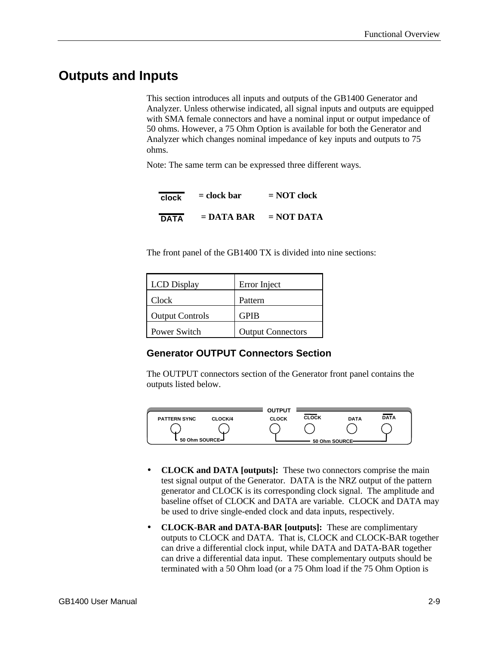# **Outputs and Inputs**

This section introduces all inputs and outputs of the GB1400 Generator and Analyzer. Unless otherwise indicated, all signal inputs and outputs are equipped with SMA female connectors and have a nominal input or output impedance of 50 ohms. However, a 75 Ohm Option is available for both the Generator and Analyzer which changes nominal impedance of key inputs and outputs to 75 ohms.

Note: The same term can be expressed three different ways.

| clock | $=$ clock bar | $= NOT clock$ |
|-------|---------------|---------------|
| DATA  | $=$ DATA BAR  | $= NOT DATA$  |

The front panel of the GB1400 TX is divided into nine sections:

| <b>LCD</b> Display     | Error Inject             |
|------------------------|--------------------------|
| Clock                  | Pattern                  |
| <b>Output Controls</b> | <b>GPIB</b>              |
| Power Switch           | <b>Output Connectors</b> |

#### **Generator OUTPUT Connectors Section**

The OUTPUT connectors section of the Generator front panel contains the outputs listed below.



- **CLOCK and DATA [outputs]:** These two connectors comprise the main test signal output of the Generator. DATA is the NRZ output of the pattern generator and CLOCK is its corresponding clock signal. The amplitude and baseline offset of CLOCK and DATA are variable. CLOCK and DATA may be used to drive single-ended clock and data inputs, respectively.
- **CLOCK-BAR and DATA-BAR [outputs]:** These are complimentary outputs to CLOCK and DATA. That is, CLOCK and CLOCK-BAR together can drive a differential clock input, while DATA and DATA-BAR together can drive a differential data input. These complementary outputs should be terminated with a 50 Ohm load (or a 75 Ohm load if the 75 Ohm Option is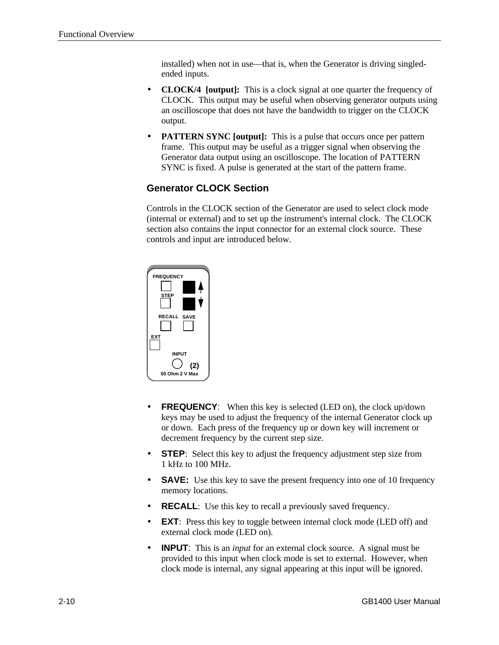installed) when not in use—that is, when the Generator is driving singledended inputs.

- **CLOCK/4 [output]:** This is a clock signal at one quarter the frequency of CLOCK. This output may be useful when observing generator outputs using an oscilloscope that does not have the bandwidth to trigger on the CLOCK output.
- **PATTERN SYNC [output]:** This is a pulse that occurs once per pattern frame. This output may be useful as a trigger signal when observing the Generator data output using an oscilloscope. The location of PATTERN SYNC is fixed. A pulse is generated at the start of the pattern frame.

# **Generator CLOCK Section**

Controls in the CLOCK section of the Generator are used to select clock mode (internal or external) and to set up the instrument's internal clock. The CLOCK section also contains the input connector for an external clock source. These controls and input are introduced below.



- **FREQUENCY:** When this key is selected (LED on), the clock up/down keys may be used to adjust the frequency of the internal Generator clock up or down. Each press of the frequency up or down key will increment or decrement frequency by the current step size.
- **STEP**: Select this key to adjust the frequency adjustment step size from 1 kHz to 100 MHz.
- **SAVE:** Use this key to save the present frequency into one of 10 frequency memory locations.
- **RECALL**: Use this key to recall a previously saved frequency.
- **EXT**: Press this key to toggle between internal clock mode (LED off) and external clock mode (LED on).
- **INPUT**: This is an *input* for an external clock source. A signal must be provided to this input when clock mode is set to external. However, when clock mode is internal, any signal appearing at this input will be ignored.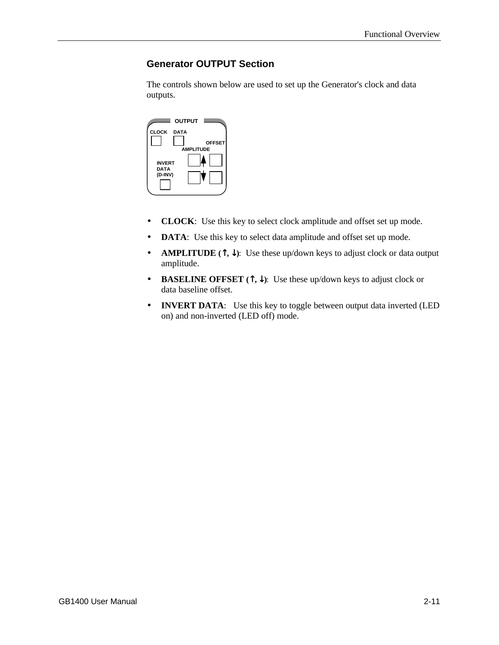# **Generator OUTPUT Section**

The controls shown below are used to set up the Generator's clock and data outputs.



- **CLOCK**: Use this key to select clock amplitude and offset set up mode.
- **DATA**: Use this key to select data amplitude and offset set up mode.
- **AMPLITUDE (**↑**,** ↓**)**: Use these up/down keys to adjust clock or data output amplitude.
- **BASELINE OFFSET (**↑**,** ↓**)**: Use these up/down keys to adjust clock or data baseline offset.
- **INVERT DATA**: Use this key to toggle between output data inverted (LED on) and non-inverted (LED off) mode.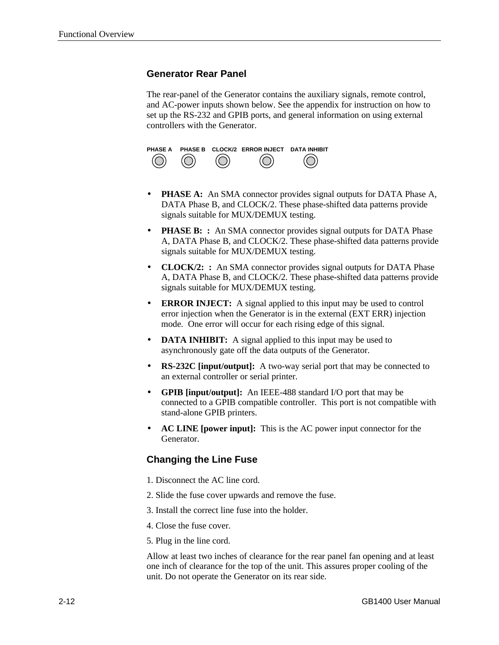# **Generator Rear Panel**

The rear-panel of the Generator contains the auxiliary signals, remote control, and AC-power inputs shown below. See the appendix for instruction on how to set up the RS-232 and GPIB ports, and general information on using external controllers with the Generator.



- **PHASE A:** An SMA connector provides signal outputs for DATA Phase A, DATA Phase B, and CLOCK/2. These phase-shifted data patterns provide signals suitable for MUX/DEMUX testing.
- **PHASE B:** : An SMA connector provides signal outputs for DATA Phase A, DATA Phase B, and CLOCK/2. These phase-shifted data patterns provide signals suitable for MUX/DEMUX testing.
- **CLOCK/2:** : An SMA connector provides signal outputs for DATA Phase A, DATA Phase B, and CLOCK/2. These phase-shifted data patterns provide signals suitable for MUX/DEMUX testing.
- **ERROR INJECT:** A signal applied to this input may be used to control error injection when the Generator is in the external (EXT ERR) injection mode. One error will occur for each rising edge of this signal.
- **DATA INHIBIT:** A signal applied to this input may be used to asynchronously gate off the data outputs of the Generator.
- **RS-232C [input/output]:** A two-way serial port that may be connected to an external controller or serial printer.
- **GPIB [input/output]:** An IEEE-488 standard I/O port that may be connected to a GPIB compatible controller. This port is not compatible with stand-alone GPIB printers.
- **AC LINE [power input]:** This is the AC power input connector for the Generator.

#### **Changing the Line Fuse**

- 1. Disconnect the AC line cord.
- 2. Slide the fuse cover upwards and remove the fuse.
- 3. Install the correct line fuse into the holder.
- 4. Close the fuse cover.
- 5. Plug in the line cord.

Allow at least two inches of clearance for the rear panel fan opening and at least one inch of clearance for the top of the unit. This assures proper cooling of the unit. Do not operate the Generator on its rear side.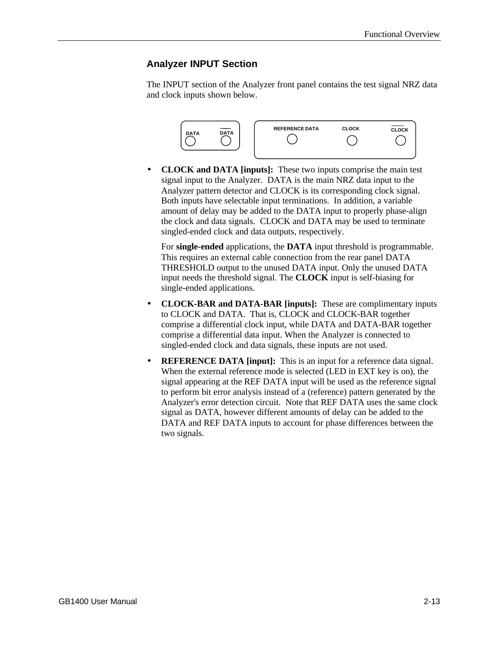# **Analyzer INPUT Section**

The INPUT section of the Analyzer front panel contains the test signal NRZ data and clock inputs shown below.



• **CLOCK and DATA [inputs]:** These two inputs comprise the main test signal input to the Analyzer. DATA is the main NRZ data input to the Analyzer pattern detector and CLOCK is its corresponding clock signal. Both inputs have selectable input terminations. In addition, a variable amount of delay may be added to the DATA input to properly phase-align the clock and data signals. CLOCK and DATA may be used to terminate singled-ended clock and data outputs, respectively.

For **single-ended** applications, the **DATA** input threshold is programmable. This requires an external cable connection from the rear panel DATA THRESHOLD output to the unused DATA input. Only the unused DATA input needs the threshold signal. The **CLOCK** input is self-biasing for single-ended applications.

- **CLOCK-BAR and DATA-BAR [inputs]:** These are complimentary inputs to CLOCK and DATA. That is, CLOCK and CLOCK-BAR together comprise a differential clock input, while DATA and DATA-BAR together comprise a differential data input. When the Analyzer is connected to singled-ended clock and data signals, these inputs are not used.
- **REFERENCE DATA [input]:** This is an input for a reference data signal. When the external reference mode is selected (LED in EXT key is on), the signal appearing at the REF DATA input will be used as the reference signal to perform bit error analysis instead of a (reference) pattern generated by the Analyzer's error detection circuit. Note that REF DATA uses the same clock signal as DATA, however different amounts of delay can be added to the DATA and REF DATA inputs to account for phase differences between the two signals.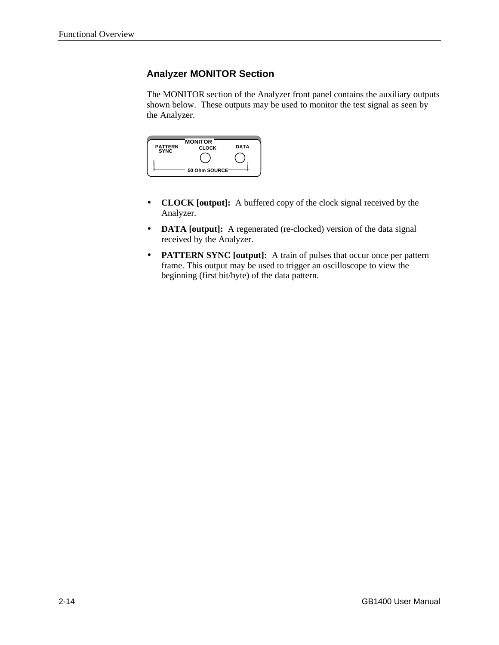# **Analyzer MONITOR Section**

The MONITOR section of the Analyzer front panel contains the auxiliary outputs shown below. These outputs may be used to monitor the test signal as seen by the Analyzer.

| <b>PATTERN</b><br><b>SYNC</b> | <b>MONITOR</b><br><b>CLOCK</b> | <b>DATA</b> |
|-------------------------------|--------------------------------|-------------|
|                               | 50 Ohm SOURCE <sup>-</sup>     |             |

- **CLOCK [output]:** A buffered copy of the clock signal received by the Analyzer.
- **DATA [output]:** A regenerated (re-clocked) version of the data signal received by the Analyzer.
- **PATTERN SYNC [output]:** A train of pulses that occur once per pattern frame. This output may be used to trigger an oscilloscope to view the beginning (first bit/byte) of the data pattern.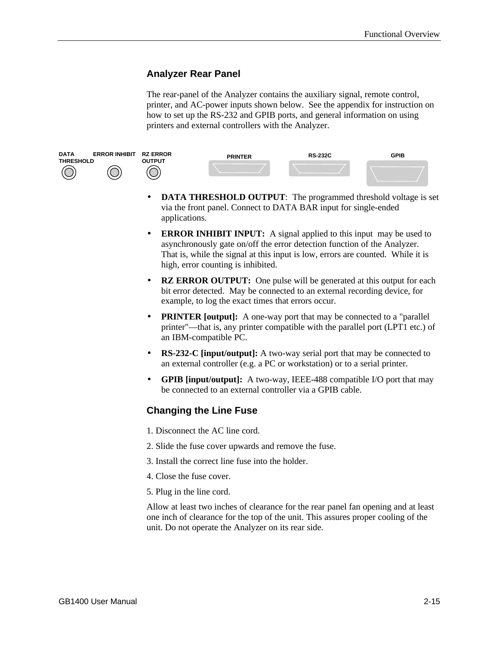# **Analyzer Rear Panel**

The rear-panel of the Analyzer contains the auxiliary signal, remote control, printer, and AC-power inputs shown below. See the appendix for instruction on how to set up the RS-232 and GPIB ports, and general information on using printers and external controllers with the Analyzer.



- **DATA THRESHOLD OUTPUT:** The programmed threshold voltage is set via the front panel. Connect to DATA BAR input for single-ended applications.
- **ERROR INHIBIT INPUT:** A signal applied to this input may be used to asynchronously gate on/off the error detection function of the Analyzer. That is, while the signal at this input is low, errors are counted. While it is high, error counting is inhibited.
- **RZ ERROR OUTPUT:** One pulse will be generated at this output for each bit error detected. May be connected to an external recording device, for example, to log the exact times that errors occur.
- **PRINTER [output]:** A one-way port that may be connected to a "parallel" printer"—that is, any printer compatible with the parallel port (LPT1 etc.) of an IBM-compatible PC.
- **RS-232-C [input/output]:** A two-way serial port that may be connected to an external controller (e.g. a PC or workstation) or to a serial printer.
- **GPIB [input/output]:** A two-way, IEEE-488 compatible I/O port that may be connected to an external controller via a GPIB cable.

# **Changing the Line Fuse**

- 1. Disconnect the AC line cord.
- 2. Slide the fuse cover upwards and remove the fuse.
- 3. Install the correct line fuse into the holder.
- 4. Close the fuse cover.
- 5. Plug in the line cord.

Allow at least two inches of clearance for the rear panel fan opening and at least one inch of clearance for the top of the unit. This assures proper cooling of the unit. Do not operate the Analyzer on its rear side.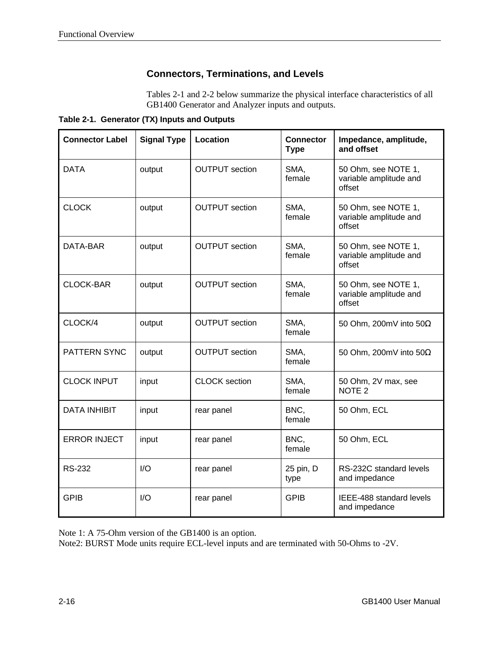# **Connectors, Terminations, and Levels**

Tables 2-1 and 2-2 below summarize the physical interface characteristics of all GB1400 Generator and Analyzer inputs and outputs.

**Table 2-1. Generator (TX) Inputs and Outputs**

| <b>Connector Label</b> | <b>Signal Type</b> | Location              | <b>Connector</b><br><b>Type</b> | Impedance, amplitude,<br>and offset                     |
|------------------------|--------------------|-----------------------|---------------------------------|---------------------------------------------------------|
| <b>DATA</b>            | output             | <b>OUTPUT</b> section | SMA,<br>female                  | 50 Ohm, see NOTE 1,<br>variable amplitude and<br>offset |
| <b>CLOCK</b>           | output             | <b>OUTPUT</b> section | SMA,<br>female                  | 50 Ohm, see NOTE 1,<br>variable amplitude and<br>offset |
| DATA-BAR               | output             | <b>OUTPUT</b> section | SMA,<br>female                  | 50 Ohm, see NOTE 1,<br>variable amplitude and<br>offset |
| <b>CLOCK-BAR</b>       | output             | <b>OUTPUT</b> section | SMA,<br>female                  | 50 Ohm, see NOTE 1,<br>variable amplitude and<br>offset |
| CLOCK/4                | output             | <b>OUTPUT</b> section | SMA,<br>female                  | 50 Ohm, 200mV into 50Ω                                  |
| PATTERN SYNC           | output             | <b>OUTPUT</b> section | SMA,<br>female                  | 50 Ohm, 200mV into 50 $\Omega$                          |
| <b>CLOCK INPUT</b>     | input              | <b>CLOCK</b> section  | SMA,<br>female                  | 50 Ohm, 2V max, see<br>NOTE <sub>2</sub>                |
| <b>DATA INHIBIT</b>    | input              | rear panel            | BNC,<br>female                  | 50 Ohm, ECL                                             |
| <b>ERROR INJECT</b>    | input              | rear panel            | BNC,<br>female                  | 50 Ohm, ECL                                             |
| <b>RS-232</b>          | I/O                | rear panel            | 25 pin, D<br>type               | RS-232C standard levels<br>and impedance                |
| <b>GPIB</b>            | I/O                | rear panel            | <b>GPIB</b>                     | IEEE-488 standard levels<br>and impedance               |

Note 1: A 75-Ohm version of the GB1400 is an option.

Note2: BURST Mode units require ECL-level inputs and are terminated with 50-Ohms to -2V.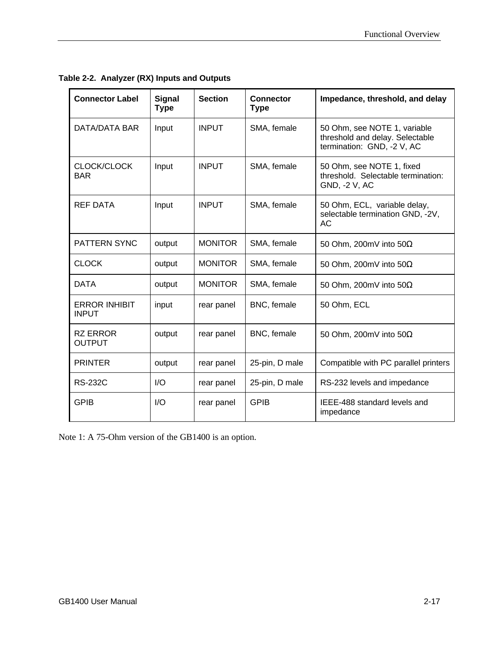| <b>Connector Label</b>               | <b>Signal</b><br><b>Type</b> | <b>Section</b> | <b>Connector</b><br><b>Type</b> | Impedance, threshold, and delay                                                               |
|--------------------------------------|------------------------------|----------------|---------------------------------|-----------------------------------------------------------------------------------------------|
| DATA/DATA BAR                        | Input                        | <b>INPUT</b>   | SMA, female                     | 50 Ohm, see NOTE 1, variable<br>threshold and delay. Selectable<br>termination: GND, -2 V, AC |
| CLOCK/CLOCK<br><b>BAR</b>            | Input                        | <b>INPUT</b>   | SMA, female                     | 50 Ohm, see NOTE 1, fixed<br>threshold. Selectable termination:<br>GND, -2 V, AC              |
| <b>REF DATA</b>                      | Input                        | <b>INPUT</b>   | SMA, female                     | 50 Ohm, ECL, variable delay,<br>selectable termination GND, -2V,<br><b>AC</b>                 |
| <b>PATTERN SYNC</b>                  | output                       | <b>MONITOR</b> | SMA, female                     | 50 Ohm, 200mV into 50 $\Omega$                                                                |
| <b>CLOCK</b>                         | output                       | <b>MONITOR</b> | SMA, female                     | 50 Ohm, 200mV into 50 $\Omega$                                                                |
| <b>DATA</b>                          | output                       | <b>MONITOR</b> | SMA, female                     | 50 Ohm, 200mV into 50 $\Omega$                                                                |
| <b>ERROR INHIBIT</b><br><b>INPUT</b> | input                        | rear panel     | BNC, female                     | 50 Ohm, ECL                                                                                   |
| <b>RZ ERROR</b><br><b>OUTPUT</b>     | output                       | rear panel     | BNC, female                     | 50 Ohm, 200mV into 50 $\Omega$                                                                |
| <b>PRINTER</b>                       | output                       | rear panel     | 25-pin, D male                  | Compatible with PC parallel printers                                                          |
| <b>RS-232C</b>                       | I/O                          | rear panel     | 25-pin, D male                  | RS-232 levels and impedance                                                                   |
| <b>GPIB</b>                          | I/O                          | rear panel     | <b>GPIB</b>                     | IEEE-488 standard levels and<br>impedance                                                     |

**Table 2-2. Analyzer (RX) Inputs and Outputs**

Note 1: A 75-Ohm version of the GB1400 is an option.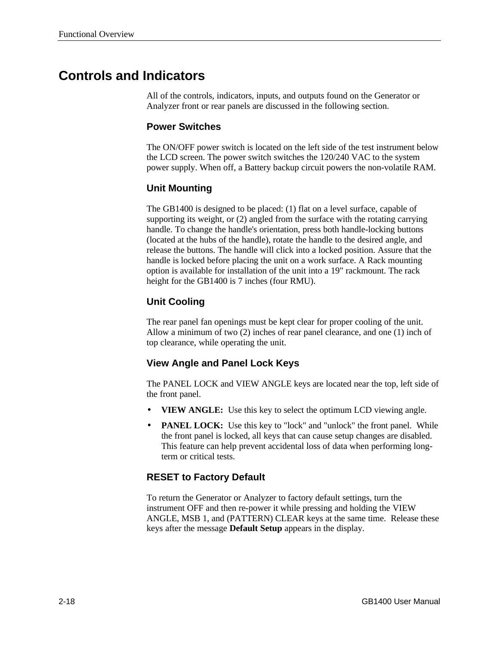# **Controls and Indicators**

All of the controls, indicators, inputs, and outputs found on the Generator or Analyzer front or rear panels are discussed in the following section.

## **Power Switches**

The ON/OFF power switch is located on the left side of the test instrument below the LCD screen. The power switch switches the 120/240 VAC to the system power supply. When off, a Battery backup circuit powers the non-volatile RAM.

### **Unit Mounting**

The GB1400 is designed to be placed: (1) flat on a level surface, capable of supporting its weight, or (2) angled from the surface with the rotating carrying handle. To change the handle's orientation, press both handle-locking buttons (located at the hubs of the handle), rotate the handle to the desired angle, and release the buttons. The handle will click into a locked position. Assure that the handle is locked before placing the unit on a work surface. A Rack mounting option is available for installation of the unit into a 19" rackmount. The rack height for the GB1400 is 7 inches (four RMU).

# **Unit Cooling**

The rear panel fan openings must be kept clear for proper cooling of the unit. Allow a minimum of two (2) inches of rear panel clearance, and one (1) inch of top clearance, while operating the unit.

# **View Angle and Panel Lock Keys**

The PANEL LOCK and VIEW ANGLE keys are located near the top, left side of the front panel.

- **VIEW ANGLE:** Use this key to select the optimum LCD viewing angle.
- **PANEL LOCK:** Use this key to "lock" and "unlock" the front panel. While the front panel is locked, all keys that can cause setup changes are disabled. This feature can help prevent accidental loss of data when performing longterm or critical tests.

# **RESET to Factory Default**

To return the Generator or Analyzer to factory default settings, turn the instrument OFF and then re-power it while pressing and holding the VIEW ANGLE, MSB 1, and (PATTERN) CLEAR keys at the same time. Release these keys after the message **Default Setup** appears in the display.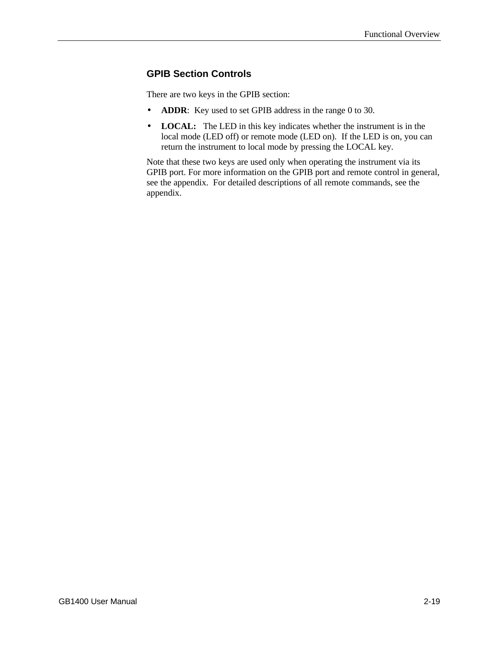# **GPIB Section Controls**

There are two keys in the GPIB section:

- **ADDR**: Key used to set GPIB address in the range 0 to 30.
- **LOCAL:** The LED in this key indicates whether the instrument is in the local mode (LED off) or remote mode (LED on). If the LED is on, you can return the instrument to local mode by pressing the LOCAL key.

Note that these two keys are used only when operating the instrument via its GPIB port. For more information on the GPIB port and remote control in general, see the appendix. For detailed descriptions of all remote commands, see the appendix.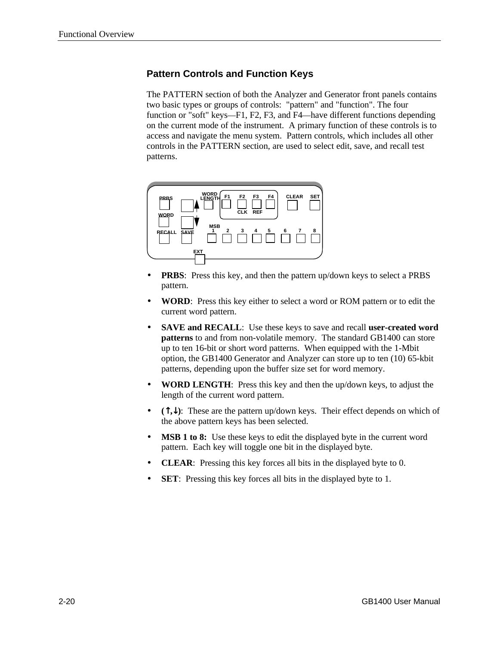# **Pattern Controls and Function Keys**

The PATTERN section of both the Analyzer and Generator front panels contains two basic types or groups of controls: "pattern" and "function". The four function or "soft" keys—F1, F2, F3, and F4—have different functions depending on the current mode of the instrument. A primary function of these controls is to access and navigate the menu system. Pattern controls, which includes all other controls in the PATTERN section, are used to select edit, save, and recall test patterns.



- **PRBS**: Press this key, and then the pattern up/down keys to select a PRBS pattern.
- **WORD**: Press this key either to select a word or ROM pattern or to edit the current word pattern.
- **SAVE and RECALL**: Use these keys to save and recall **user-created word patterns** to and from non-volatile memory. The standard GB1400 can store up to ten 16-bit or short word patterns. When equipped with the 1-Mbit option, the GB1400 Generator and Analyzer can store up to ten (10) 65-kbit patterns, depending upon the buffer size set for word memory.
- **WORD LENGTH**: Press this key and then the up/down keys, to adjust the length of the current word pattern.
- **(**↑**,**↓**)**: These are the pattern up/down keys. Their effect depends on which of the above pattern keys has been selected.
- **MSB 1 to 8:** Use these keys to edit the displayed byte in the current word pattern. Each key will toggle one bit in the displayed byte.
- **CLEAR**: Pressing this key forces all bits in the displayed byte to 0.
- **SET:** Pressing this key forces all bits in the displayed byte to 1.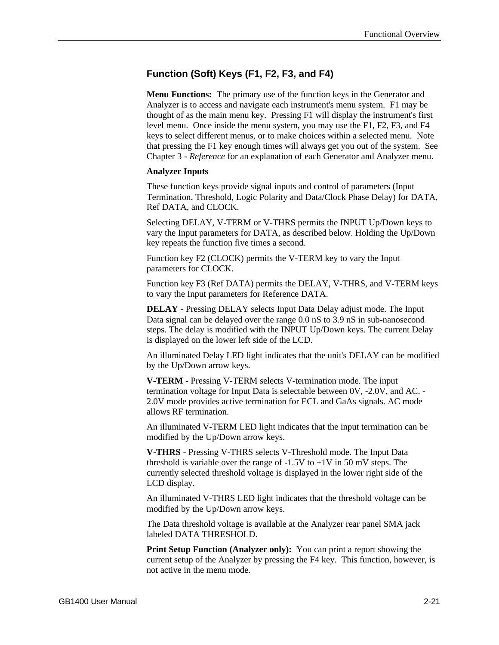# **Function (Soft) Keys (F1, F2, F3, and F4)**

**Menu Functions:** The primary use of the function keys in the Generator and Analyzer is to access and navigate each instrument's menu system. F1 may be thought of as the main menu key. Pressing F1 will display the instrument's first level menu. Once inside the menu system, you may use the F1, F2, F3, and F4 keys to select different menus, or to make choices within a selected menu. Note that pressing the F1 key enough times will always get you out of the system. See Chapter 3 - *Reference* for an explanation of each Generator and Analyzer menu.

#### **Analyzer Inputs**

These function keys provide signal inputs and control of parameters (Input Termination, Threshold, Logic Polarity and Data/Clock Phase Delay) for DATA, Ref DATA, and CLOCK.

Selecting DELAY, V-TERM or V-THRS permits the INPUT Up/Down keys to vary the Input parameters for DATA, as described below. Holding the Up/Down key repeats the function five times a second.

Function key F2 (CLOCK) permits the V-TERM key to vary the Input parameters for CLOCK.

Function key F3 (Ref DATA) permits the DELAY, V-THRS, and V-TERM keys to vary the Input parameters for Reference DATA.

**DELAY** - Pressing DELAY selects Input Data Delay adjust mode. The Input Data signal can be delayed over the range 0.0 nS to 3.9 nS in sub-nanosecond steps. The delay is modified with the INPUT Up/Down keys. The current Delay is displayed on the lower left side of the LCD.

An illuminated Delay LED light indicates that the unit's DELAY can be modified by the Up/Down arrow keys.

**V-TERM** - Pressing V-TERM selects V-termination mode. The input termination voltage for Input Data is selectable between 0V, -2.0V, and AC. - 2.0V mode provides active termination for ECL and GaAs signals. AC mode allows RF termination.

An illuminated V-TERM LED light indicates that the input termination can be modified by the Up/Down arrow keys.

**V-THRS** - Pressing V-THRS selects V-Threshold mode. The Input Data threshold is variable over the range of  $-1.5V$  to  $+1V$  in 50 mV steps. The currently selected threshold voltage is displayed in the lower right side of the LCD display.

An illuminated V-THRS LED light indicates that the threshold voltage can be modified by the Up/Down arrow keys.

The Data threshold voltage is available at the Analyzer rear panel SMA jack labeled DATA THRESHOLD.

**Print Setup Function (Analyzer only):** You can print a report showing the current setup of the Analyzer by pressing the F4 key. This function, however, is not active in the menu mode.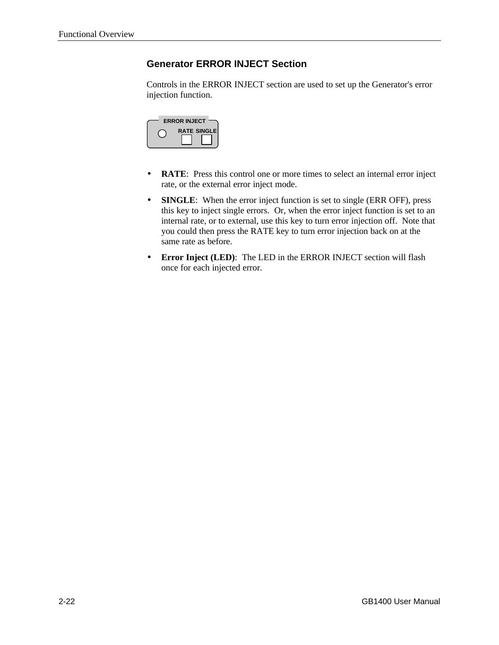# **Generator ERROR INJECT Section**

Controls in the ERROR INJECT section are used to set up the Generator's error injection function.



- **RATE**: Press this control one or more times to select an internal error inject rate, or the external error inject mode.
- **SINGLE**: When the error inject function is set to single (ERR OFF), press this key to inject single errors. Or, when the error inject function is set to an internal rate, or to external, use this key to turn error injection off. Note that you could then press the RATE key to turn error injection back on at the same rate as before.
- **Error Inject (LED)**: The LED in the ERROR INJECT section will flash once for each injected error.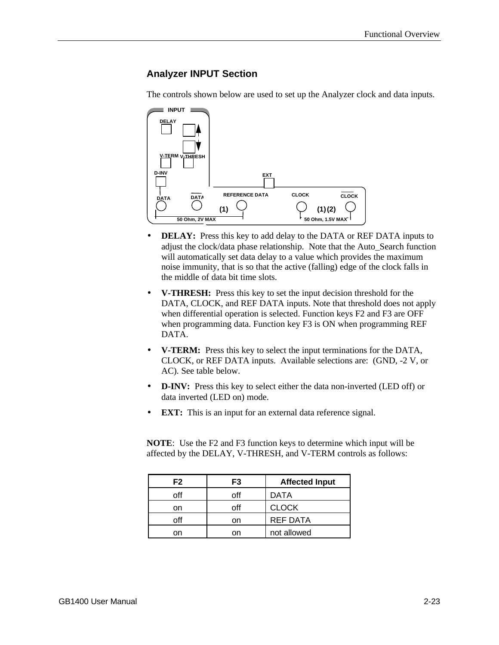# **Analyzer INPUT Section**

The controls shown below are used to set up the Analyzer clock and data inputs.



- **DELAY:** Press this key to add delay to the DATA or REF DATA inputs to adjust the clock/data phase relationship. Note that the Auto\_Search function will automatically set data delay to a value which provides the maximum noise immunity, that is so that the active (falling) edge of the clock falls in the middle of data bit time slots.
- **V-THRESH:** Press this key to set the input decision threshold for the DATA, CLOCK, and REF DATA inputs. Note that threshold does not apply when differential operation is selected. Function keys F2 and F3 are OFF when programming data. Function key F3 is ON when programming REF DATA.
- **V-TERM:** Press this key to select the input terminations for the DATA, CLOCK, or REF DATA inputs. Available selections are: (GND, -2 V, or AC). See table below.
- **D-INV:** Press this key to select either the data non-inverted (LED off) or data inverted (LED on) mode.
- **EXT:** This is an input for an external data reference signal.

**NOTE**: Use the F2 and F3 function keys to determine which input will be affected by the DELAY, V-THRESH, and V-TERM controls as follows:

| F2  | F3  | <b>Affected Input</b> |
|-----|-----|-----------------------|
| off | off | DATA                  |
| on  | ∩ff | <b>CLOCK</b>          |
| off | on  | <b>REF DATA</b>       |
|     | nn  | not allowed           |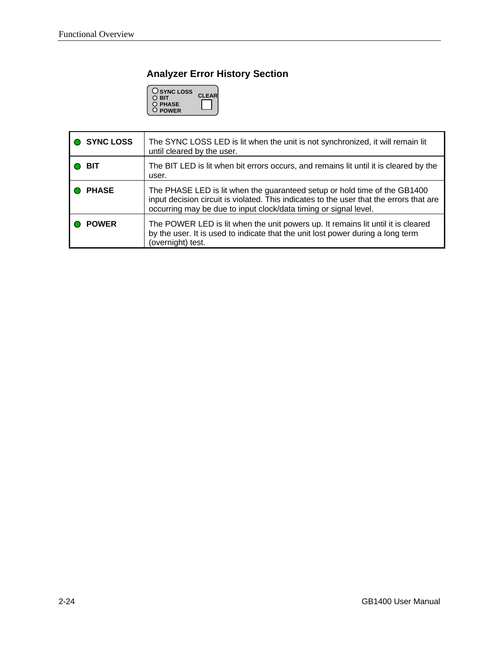# **Analyzer Error History Section**



| <b>SYNC LOSS</b> | The SYNC LOSS LED is lit when the unit is not synchronized, it will remain lit<br>until cleared by the user.                                                                                                                             |
|------------------|------------------------------------------------------------------------------------------------------------------------------------------------------------------------------------------------------------------------------------------|
| BIT              | The BIT LED is lit when bit errors occurs, and remains lit until it is cleared by the<br>user.                                                                                                                                           |
| <b>PHASE</b>     | The PHASE LED is lit when the guaranteed setup or hold time of the GB1400<br>input decision circuit is violated. This indicates to the user that the errors that are<br>occurring may be due to input clock/data timing or signal level. |
| <b>POWER</b>     | The POWER LED is lit when the unit powers up. It remains lit until it is cleared<br>by the user. It is used to indicate that the unit lost power during a long term<br>(overnight) test.                                                 |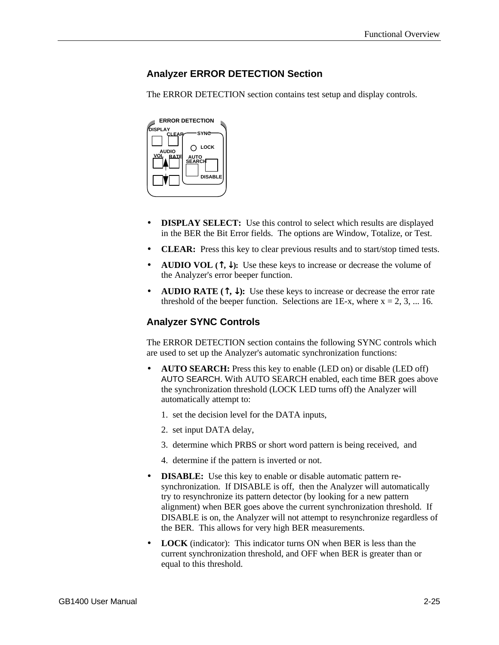# **Analyzer ERROR DETECTION Section**

The ERROR DETECTION section contains test setup and display controls.



- **DISPLAY SELECT:** Use this control to select which results are displayed in the BER the Bit Error fields. The options are Window, Totalize, or Test.
- **CLEAR:** Press this key to clear previous results and to start/stop timed tests.
- **AUDIO VOL**  $(\uparrow, \downarrow)$ : Use these keys to increase or decrease the volume of the Analyzer's error beeper function.
- **AUDIO RATE**  $(\uparrow, \downarrow)$ : Use these keys to increase or decrease the error rate threshold of the beeper function. Selections are 1E-x, where  $x = 2, 3, ...$  16.

# **Analyzer SYNC Controls**

The ERROR DETECTION section contains the following SYNC controls which are used to set up the Analyzer's automatic synchronization functions:

- **AUTO SEARCH:** Press this key to enable (LED on) or disable (LED off) AUTO SEARCH. With AUTO SEARCH enabled, each time BER goes above the synchronization threshold (LOCK LED turns off) the Analyzer will automatically attempt to:
	- 1. set the decision level for the DATA inputs,
	- 2. set input DATA delay,
	- 3. determine which PRBS or short word pattern is being received, and
	- 4. determine if the pattern is inverted or not.
- **DISABLE:** Use this key to enable or disable automatic pattern resynchronization. If DISABLE is off, then the Analyzer will automatically try to resynchronize its pattern detector (by looking for a new pattern alignment) when BER goes above the current synchronization threshold. If DISABLE is on, the Analyzer will not attempt to resynchronize regardless of the BER. This allows for very high BER measurements.
- **LOCK** (indicator): This indicator turns ON when BER is less than the current synchronization threshold, and OFF when BER is greater than or equal to this threshold.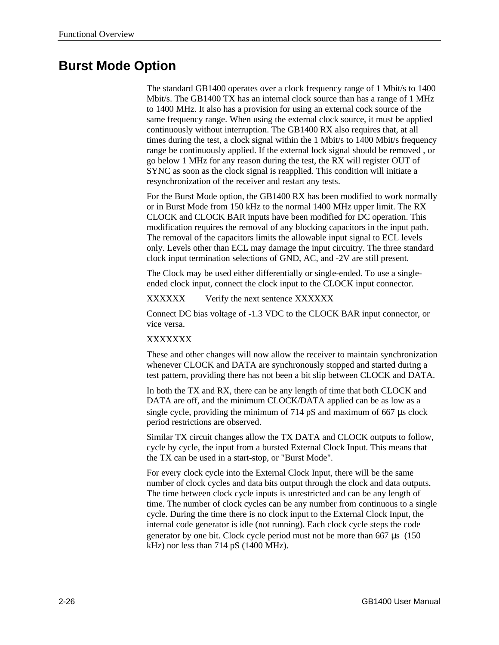# **Burst Mode Option**

The standard GB1400 operates over a clock frequency range of 1 Mbit/s to 1400 Mbit/s. The GB1400 TX has an internal clock source than has a range of 1 MHz to 1400 MHz. It also has a provision for using an external cock source of the same frequency range. When using the external clock source, it must be applied continuously without interruption. The GB1400 RX also requires that, at all times during the test, a clock signal within the 1 Mbit/s to 1400 Mbit/s frequency range be continuously applied. If the external lock signal should be removed , or go below 1 MHz for any reason during the test, the RX will register OUT of SYNC as soon as the clock signal is reapplied. This condition will initiate a resynchronization of the receiver and restart any tests.

For the Burst Mode option, the GB1400 RX has been modified to work normally or in Burst Mode from 150 kHz to the normal 1400 MHz upper limit. The RX CLOCK and CLOCK BAR inputs have been modified for DC operation. This modification requires the removal of any blocking capacitors in the input path. The removal of the capacitors limits the allowable input signal to ECL levels only. Levels other than ECL may damage the input circuitry. The three standard clock input termination selections of GND, AC, and -2V are still present.

The Clock may be used either differentially or single-ended. To use a singleended clock input, connect the clock input to the CLOCK input connector.

XXXXXX Verify the next sentence XXXXXX

Connect DC bias voltage of -1.3 VDC to the CLOCK BAR input connector, or vice versa.

#### XXXXXXX

These and other changes will now allow the receiver to maintain synchronization whenever CLOCK and DATA are synchronously stopped and started during a test pattern, providing there has not been a bit slip between CLOCK and DATA.

In both the TX and RX, there can be any length of time that both CLOCK and DATA are off, and the minimum CLOCK/DATA applied can be as low as a single cycle, providing the minimum of 714 pS and maximum of 667 μs clock period restrictions are observed.

Similar TX circuit changes allow the TX DATA and CLOCK outputs to follow, cycle by cycle, the input from a bursted External Clock Input. This means that the TX can be used in a start-stop, or "Burst Mode".

For every clock cycle into the External Clock Input, there will be the same number of clock cycles and data bits output through the clock and data outputs. The time between clock cycle inputs is unrestricted and can be any length of time. The number of clock cycles can be any number from continuous to a single cycle. During the time there is no clock input to the External Clock Input, the internal code generator is idle (not running). Each clock cycle steps the code generator by one bit. Clock cycle period must not be more than 667 μs (150 kHz) nor less than 714 pS (1400 MHz).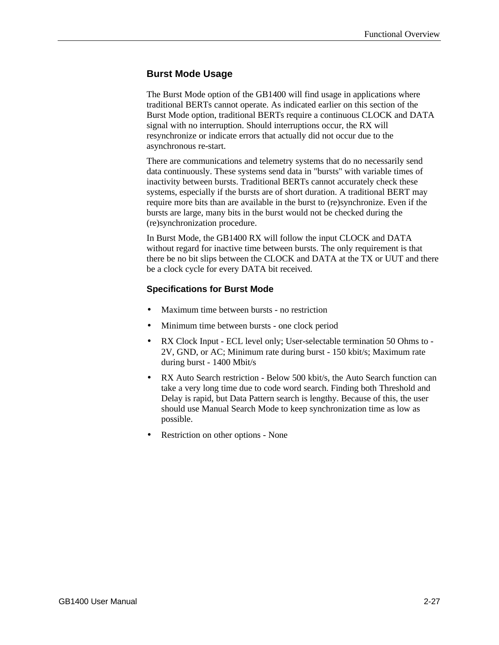# **Burst Mode Usage**

The Burst Mode option of the GB1400 will find usage in applications where traditional BERTs cannot operate. As indicated earlier on this section of the Burst Mode option, traditional BERTs require a continuous CLOCK and DATA signal with no interruption. Should interruptions occur, the RX will resynchronize or indicate errors that actually did not occur due to the asynchronous re-start.

There are communications and telemetry systems that do no necessarily send data continuously. These systems send data in "bursts" with variable times of inactivity between bursts. Traditional BERTs cannot accurately check these systems, especially if the bursts are of short duration. A traditional BERT may require more bits than are available in the burst to (re)synchronize. Even if the bursts are large, many bits in the burst would not be checked during the (re)synchronization procedure.

In Burst Mode, the GB1400 RX will follow the input CLOCK and DATA without regard for inactive time between bursts. The only requirement is that there be no bit slips between the CLOCK and DATA at the TX or UUT and there be a clock cycle for every DATA bit received.

#### **Specifications for Burst Mode**

- Maximum time between bursts no restriction
- Minimum time between bursts one clock period
- RX Clock Input ECL level only; User-selectable termination 50 Ohms to -2V, GND, or AC; Minimum rate during burst - 150 kbit/s; Maximum rate during burst - 1400 Mbit/s
- RX Auto Search restriction Below 500 kbit/s, the Auto Search function can take a very long time due to code word search. Finding both Threshold and Delay is rapid, but Data Pattern search is lengthy. Because of this, the user should use Manual Search Mode to keep synchronization time as low as possible.
- Restriction on other options None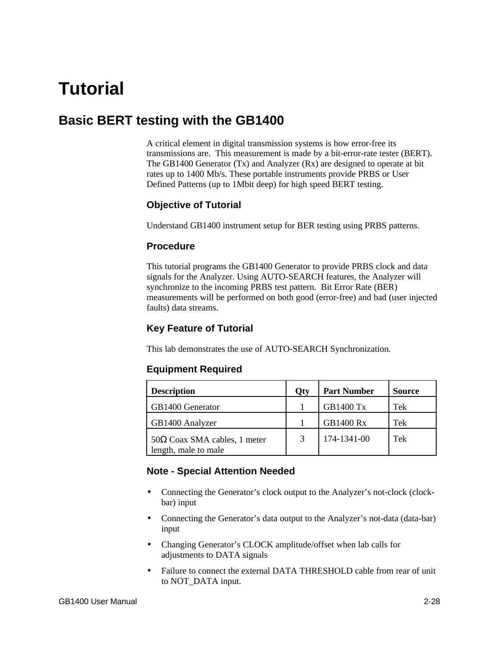# **Tutorial**

# **Basic BERT testing with the GB1400**

A critical element in digital transmission systems is how error-free its transmissions are. This measurement is made by a bit-error-rate tester (BERT). The GB1400 Generator (Tx) and Analyzer (Rx) are designed to operate at bit rates up to 1400 Mb/s. These portable instruments provide PRBS or User Defined Patterns (up to 1Mbit deep) for high speed BERT testing.

#### **Objective of Tutorial**

Understand GB1400 instrument setup for BER testing using PRBS patterns.

#### **Procedure**

This tutorial programs the GB1400 Generator to provide PRBS clock and data signals for the Analyzer. Using AUTO-SEARCH features, the Analyzer will synchronize to the incoming PRBS test pattern. Bit Error Rate (BER) measurements will be performed on both good (error-free) and bad (user injected faults) data streams.

# **Key Feature of Tutorial**

This lab demonstrates the use of AUTO-SEARCH Synchronization.

#### **Equipment Required**

| <b>Description</b>                                          | Qty | <b>Part Number</b> | <b>Source</b> |
|-------------------------------------------------------------|-----|--------------------|---------------|
| GB1400 Generator                                            |     | <b>GB1400 Tx</b>   | Tek           |
| GB1400 Analyzer                                             |     | <b>GB1400 Rx</b>   | Tek           |
| $50\Omega$ Coax SMA cables, 1 meter<br>length, male to male |     | 174-1341-00        | Tek           |

#### **Note - Special Attention Needed**

- Connecting the Generator's clock output to the Analyzer's not-clock (clockbar) input
- Connecting the Generator's data output to the Analyzer's not-data (data-bar) input
- Changing Generator's CLOCK amplitude/offset when lab calls for adjustments to DATA signals
- Failure to connect the external DATA THRESHOLD cable from rear of unit to NOT\_DATA input.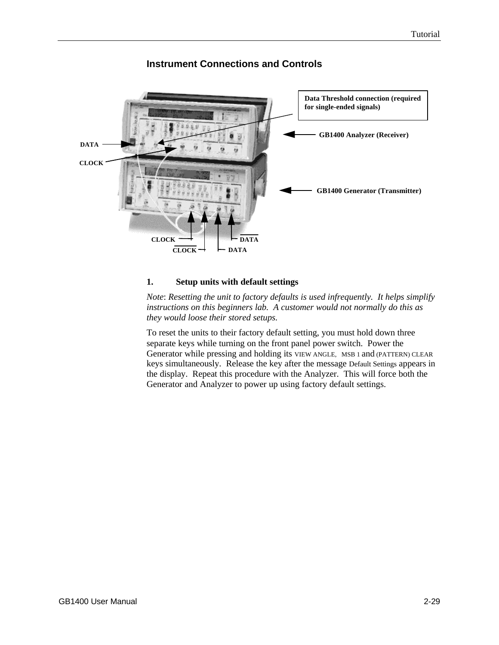

# **Instrument Connections and Controls**

#### **1. Setup units with default settings**

*Note*: *Resetting the unit to factory defaults is used infrequently. It helps simplify instructions on this beginners lab. A customer would not normally do this as they would loose their stored setups.*

To reset the units to their factory default setting, you must hold down three separate keys while turning on the front panel power switch. Power the Generator while pressing and holding its VIEW ANGLE, MSB 1 and (PATTERN) CLEAR keys simultaneously. Release the key after the message Default Settings appears in the display. Repeat this procedure with the Analyzer. This will force both the Generator and Analyzer to power up using factory default settings.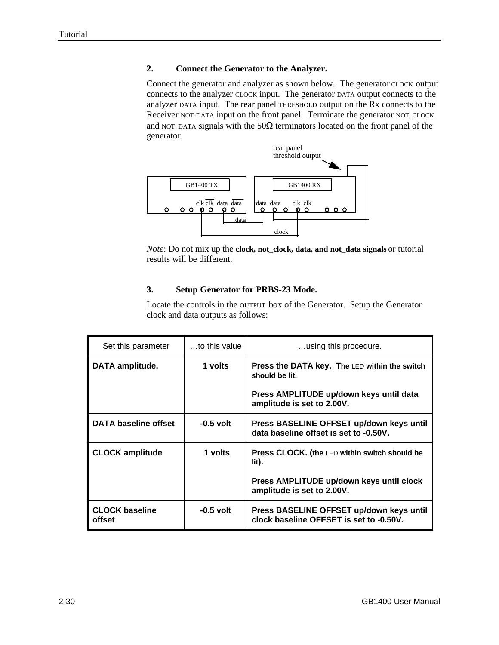#### **2. Connect the Generator to the Analyzer.**

Connect the generator and analyzer as shown below. The generator CLOCK output connects to the analyzer CLOCK input. The generator DATA output connects to the analyzer DATA input. The rear panel THRESHOLD output on the Rx connects to the Receiver NOT-DATA input on the front panel. Terminate the generator NOT\_CLOCK and NOT\_DATA signals with the  $50\Omega$  terminators located on the front panel of the generator.



*Note*: Do not mix up the **clock, not\_clock, data, and not\_data signals** or tutorial results will be different.

#### **3. Setup Generator for PRBS-23 Mode.**

Locate the controls in the OUTPUT box of the Generator. Setup the Generator clock and data outputs as follows:

| Set this parameter              | $\dots$ to this value | using this procedure.                                                                                                                           |
|---------------------------------|-----------------------|-------------------------------------------------------------------------------------------------------------------------------------------------|
| <b>DATA amplitude.</b>          | 1 volts               | <b>Press the DATA key. The LED within the switch</b><br>should be lit.<br>Press AMPLITUDE up/down keys until data<br>amplitude is set to 2.00V. |
| <b>DATA baseline offset</b>     | $-0.5$ volt           | Press BASELINE OFFSET up/down keys until<br>data baseline offset is set to -0.50V.                                                              |
| <b>CLOCK amplitude</b>          | 1 volts               | <b>Press CLOCK.</b> (the LED within switch should be<br>lit).<br>Press AMPLITUDE up/down keys until clock<br>amplitude is set to 2.00V.         |
| <b>CLOCK baseline</b><br>offset | $-0.5$ volt           | Press BASELINE OFFSET up/down keys until<br>clock baseline OFFSET is set to -0.50V.                                                             |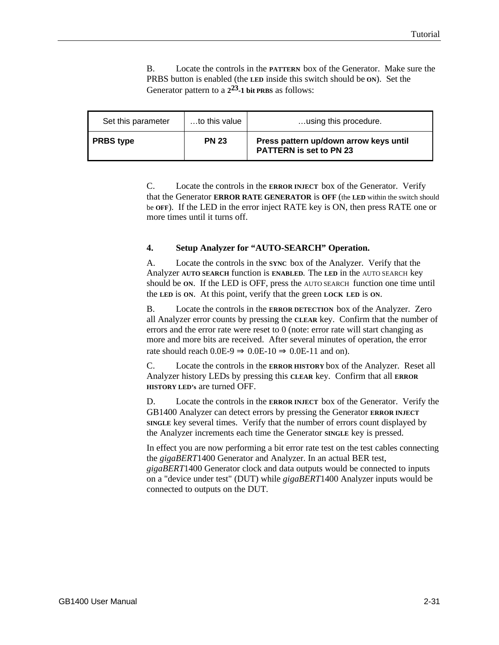B. Locate the controls in the **PATTERN** box of the Generator. Make sure the PRBS button is enabled (the **LED** inside this switch should be **ON**). Set the Generator pattern to a **2 23-1 bit PRBS** as follows:

| Set this parameter | to this value | using this procedure.                                                    |
|--------------------|---------------|--------------------------------------------------------------------------|
| <b>PRBS</b> type   | <b>PN 23</b>  | Press pattern up/down arrow keys until<br><b>PATTERN is set to PN 23</b> |

C. Locate the controls in the **ERROR INJECT** box of the Generator. Verify that the Generator **ERROR RATE GENERATOR** is **OFF** (the **LED** within the switch should be **OFF**). If the LED in the error inject RATE key is ON, then press RATE one or more times until it turns off.

#### **4. Setup Analyzer for "AUTO-SEARCH" Operation.**

A. Locate the controls in the **SYNC** box of the Analyzer. Verify that the Analyzer **AUTO SEARCH** function is **ENABLED.** The **LED** in the AUTO SEARCH key should be **ON**. If the LED is OFF, press the AUTO SEARCH function one time until the **LED** is **ON**. At this point, verify that the green **LOCK LED** is **ON**.

B. Locate the controls in the **ERROR DETECTION** box of the Analyzer. Zero all Analyzer error counts by pressing the **CLEAR** key. Confirm that the number of errors and the error rate were reset to 0 (note: error rate will start changing as more and more bits are received. After several minutes of operation, the error rate should reach  $0.0E-9 \Rightarrow 0.0E-10 \Rightarrow 0.0E-11$  and on).

C. Locate the controls in the **ERROR HISTORY** box of the Analyzer. Reset all Analyzer history LEDs by pressing this **CLEAR** key. Confirm that all **ERROR HISTORY LED's** are turned OFF.

D. Locate the controls in the **ERROR INJECT** box of the Generator. Verify the GB1400 Analyzer can detect errors by pressing the Generator **ERROR INJECT SINGLE** key several times. Verify that the number of errors count displayed by the Analyzer increments each time the Generator **SINGLE** key is pressed.

In effect you are now performing a bit error rate test on the test cables connecting the *gigaBERT*1400 Generator and Analyzer. In an actual BER test, *gigaBERT*1400 Generator clock and data outputs would be connected to inputs on a "device under test" (DUT) while *gigaBERT*1400 Analyzer inputs would be connected to outputs on the DUT.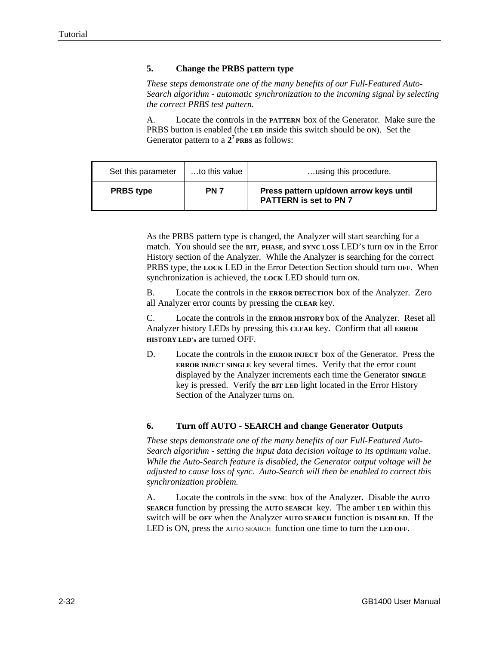#### **5. Change the PRBS pattern type**

*These steps demonstrate one of the many benefits of our Full-Featured Auto-Search algorithm - automatic synchronization to the incoming signal by selecting the correct PRBS test pattern.*

A. Locate the controls in the **PATTERN** box of the Generator. Make sure the PRBS button is enabled (the **LED** inside this switch should be **ON**). Set the Generator pattern to a  $2^7$  **PRBS** as follows:

| Set this parameter | to this value | using this procedure.                                                   |
|--------------------|---------------|-------------------------------------------------------------------------|
| <b>PRBS</b> type   | <b>PN 7</b>   | Press pattern up/down arrow keys until<br><b>PATTERN is set to PN 7</b> |

As the PRBS pattern type is changed, the Analyzer will start searching for a match. You should see the **BIT**, **PHASE**, and **SYNC LOSS** LED's turn **ON** in the Error History section of the Analyzer. While the Analyzer is searching for the correct PRBS type, the **LOCK** LED in the Error Detection Section should turn **OFF**. When synchronization is achieved, the **LOCK** LED should turn **ON**.

B. Locate the controls in the **ERROR DETECTION** box of the Analyzer. Zero all Analyzer error counts by pressing the **CLEAR** key.

C. Locate the controls in the **ERROR HISTORY** box of the Analyzer. Reset all Analyzer history LEDs by pressing this **CLEAR** key. Confirm that all **ERROR HISTORY LED's** are turned OFF.

D. Locate the controls in the **ERROR INJECT** box of the Generator. Press the **ERROR INJECT SINGLE** key several times. Verify that the error count displayed by the Analyzer increments each time the Generator **SINGLE** key is pressed. Verify the **BIT LED** light located in the Error History Section of the Analyzer turns on.

#### **6. Turn off AUTO - SEARCH and change Generator Outputs**

*These steps demonstrate one of the many benefits of our Full-Featured Auto-Search algorithm - setting the input data decision voltage to its optimum value. While the Auto-Search feature is disabled, the Generator output voltage will be adjusted to cause loss of sync. Auto-Search will then be enabled to correct this synchronization problem.*

A. Locate the controls in the **SYNC** box of the Analyzer. Disable the **AUTO SEARCH** function by pressing the **AUTO SEARCH** key. The amber **LED** within this switch will be **OFF** when the Analyzer **AUTO SEARCH** function is **DISABLED.** If the LED is ON, press the AUTO SEARCH function one time to turn the **LED OFF**.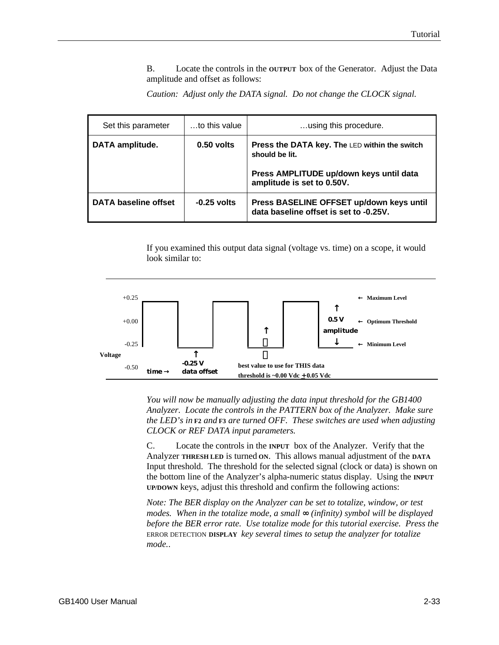B. Locate the controls in the **OUTPUT** box of the Generator. Adjust the Data amplitude and offset as follows:

*Caution: Adjust only the DATA signal. Do not change the CLOCK signal.*

| Set this parameter          | to this value | using this procedure.                                                                                                                    |
|-----------------------------|---------------|------------------------------------------------------------------------------------------------------------------------------------------|
| DATA amplitude.             | $0.50$ volts  | Press the DATA key. The LED within the switch<br>should be lit.<br>Press AMPLITUDE up/down keys until data<br>amplitude is set to 0.50V. |
| <b>DATA baseline offset</b> | $-0.25$ volts | Press BASELINE OFFSET up/down keys until<br>data baseline offset is set to -0.25V.                                                       |

If you examined this output data signal (voltage vs. time) on a scope, it would look similar to:



*You will now be manually adjusting the data input threshold for the GB1400 Analyzer. Locate the controls in the PATTERN box of the Analyzer. Make sure the LED's in* **F2** *and* **F3** *are turned OFF. These switches are used when adjusting CLOCK or REF DATA input parameters.*

C. Locate the controls in the **INPUT** box of the Analyzer. Verify that the Analyzer **THRESH LED** is turned **ON**. This allows manual adjustment of the **DATA** Input threshold. The threshold for the selected signal (clock or data) is shown on the bottom line of the Analyzer's alpha-numeric status display. Using the **INPUT UP/DOWN** keys, adjust this threshold and confirm the following actions:

*Note: The BER display on the Analyzer can be set to totalize, window, or test modes. When in the totalize mode, a small* ∞ *(infinity) symbol will be displayed before the BER error rate. Use totalize mode for this tutorial exercise. Press the* ERROR DETECTION **DISPLAY** *key several times to setup the analyzer for totalize mode.*.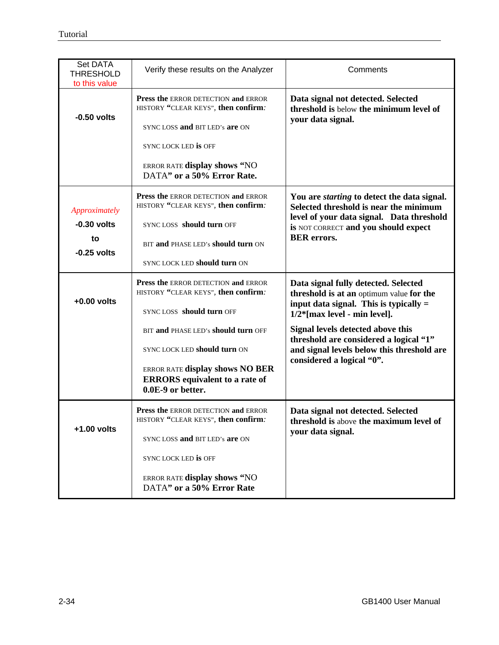| Set DATA<br><b>THRESHOLD</b><br>to this value         | Verify these results on the Analyzer                                                                                                                                                              | Comments                                                                                                                                                                                                |
|-------------------------------------------------------|---------------------------------------------------------------------------------------------------------------------------------------------------------------------------------------------------|---------------------------------------------------------------------------------------------------------------------------------------------------------------------------------------------------------|
| $-0.50$ volts                                         | Press the ERROR DETECTION and ERROR<br>HISTORY "CLEAR KEYS", then confirm.<br>SYNCLOSS and BIT LED's are ON<br>SYNCLOCK LED IS OFF<br>ERROR RATE display shows "NO<br>DATA" or a 50% Error Rate.  | Data signal not detected. Selected<br>threshold is below the minimum level of<br>your data signal.                                                                                                      |
| Approximately<br>$-0.30$ volts<br>to<br>$-0.25$ volts | Press the ERROR DETECTION and ERROR<br>HISTORY "CLEAR KEYS", then confirm.<br>SYNCLOSS should turn OFF<br>BIT and PHASE LED's should turn ON<br>SYNC LOCK LED should turn ON                      | You are <i>starting</i> to detect the data signal.<br>Selected threshold is near the minimum<br>level of your data signal. Data threshold<br>is NOT CORRECT and you should expect<br><b>BER</b> errors. |
| $+0.00$ volts                                         | Press the ERROR DETECTION and ERROR<br>HISTORY "CLEAR KEYS", then confirm.<br>SYNCLOSS should turn OFF                                                                                            | Data signal fully detected. Selected<br>threshold is at an optimum value for the<br>input data signal. This is typically $=$<br>$1/2$ <sup>*</sup> [max level - min level].                             |
|                                                       | BIT and PHASE LED's should turn OFF<br>SYNC LOCK LED should turn ON<br>ERROR RATE display shows NO BER<br><b>ERRORS</b> equivalent to a rate of<br>0.0E-9 or better.                              | Signal levels detected above this<br>threshold are considered a logical "1"<br>and signal levels below this threshold are<br>considered a logical "0".                                                  |
| +1.00 volts                                           | Press the ERROR DETECTION and ERROR<br>HISTORY "CLEAR KEYS", then confirm:<br>SYNC LOSS and BIT LED's are ON<br>SYNC LOCK LED is OFF<br>ERROR RATE display shows "NO<br>DATA" or a 50% Error Rate | Data signal not detected. Selected<br>threshold is above the maximum level of<br>your data signal.                                                                                                      |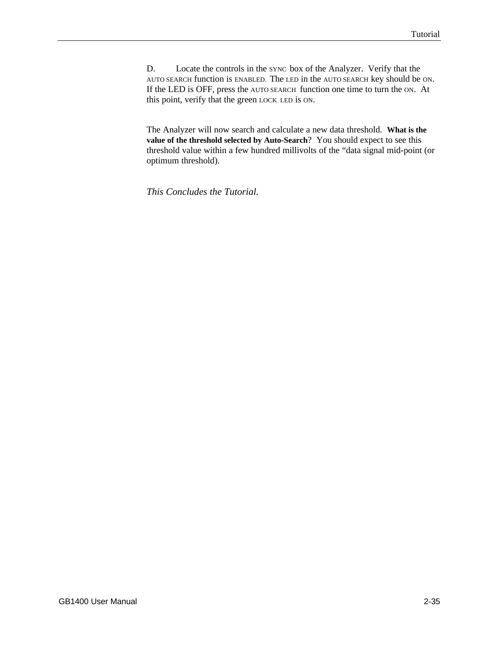D. Locate the controls in the SYNC box of the Analyzer. Verify that the AUTO SEARCH function is ENABLED. The LED in the AUTO SEARCH key should be ON. If the LED is OFF, press the AUTO SEARCH function one time to turn the ON. At this point, verify that the green LOCK LED is ON.

The Analyzer will now search and calculate a new data threshold. **What is the value of the threshold selected by Auto-Search**? You should expect to see this threshold value within a few hundred millivolts of the "data signal mid-point (or optimum threshold).

*This Concludes the Tutorial.*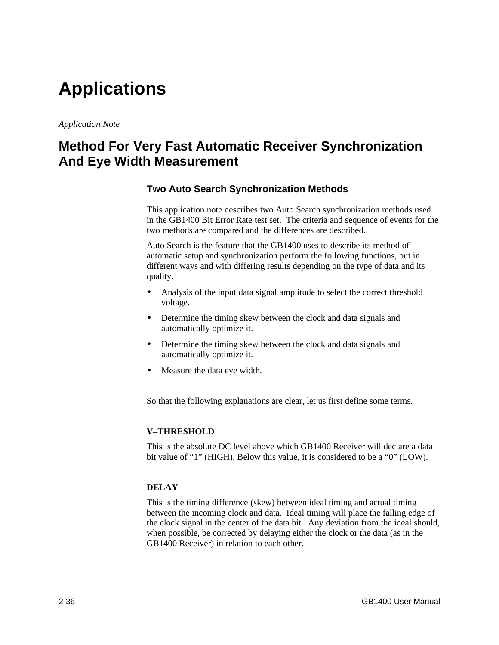# **Applications**

*Application Note*

# **Method For Very Fast Automatic Receiver Synchronization And Eye Width Measurement**

#### **Two Auto Search Synchronization Methods**

This application note describes two Auto Search synchronization methods used in the GB1400 Bit Error Rate test set. The criteria and sequence of events for the two methods are compared and the differences are described.

Auto Search is the feature that the GB1400 uses to describe its method of automatic setup and synchronization perform the following functions, but in different ways and with differing results depending on the type of data and its quality.

- Analysis of the input data signal amplitude to select the correct threshold voltage.
- Determine the timing skew between the clock and data signals and automatically optimize it.
- Determine the timing skew between the clock and data signals and automatically optimize it.
- Measure the data eye width.

So that the following explanations are clear, let us first define some terms.

#### **V–THRESHOLD**

This is the absolute DC level above which GB1400 Receiver will declare a data bit value of "1" (HIGH). Below this value, it is considered to be a "0" (LOW).

#### **DELAY**

This is the timing difference (skew) between ideal timing and actual timing between the incoming clock and data. Ideal timing will place the falling edge of the clock signal in the center of the data bit. Any deviation from the ideal should, when possible, be corrected by delaying either the clock or the data (as in the GB1400 Receiver) in relation to each other.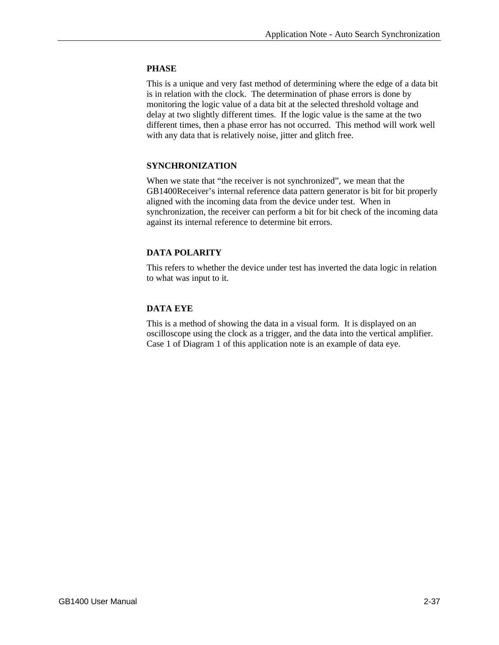#### **PHASE**

This is a unique and very fast method of determining where the edge of a data bit is in relation with the clock. The determination of phase errors is done by monitoring the logic value of a data bit at the selected threshold voltage and delay at two slightly different times. If the logic value is the same at the two different times, then a phase error has not occurred. This method will work well with any data that is relatively noise, jitter and glitch free.

#### **SYNCHRONIZATION**

When we state that "the receiver is not synchronized", we mean that the GB1400Receiver's internal reference data pattern generator is bit for bit properly aligned with the incoming data from the device under test. When in synchronization, the receiver can perform a bit for bit check of the incoming data against its internal reference to determine bit errors.

#### **DATA POLARITY**

This refers to whether the device under test has inverted the data logic in relation to what was input to it.

#### **DATA EYE**

This is a method of showing the data in a visual form. It is displayed on an oscilloscope using the clock as a trigger, and the data into the vertical amplifier. Case 1 of Diagram 1 of this application note is an example of data eye.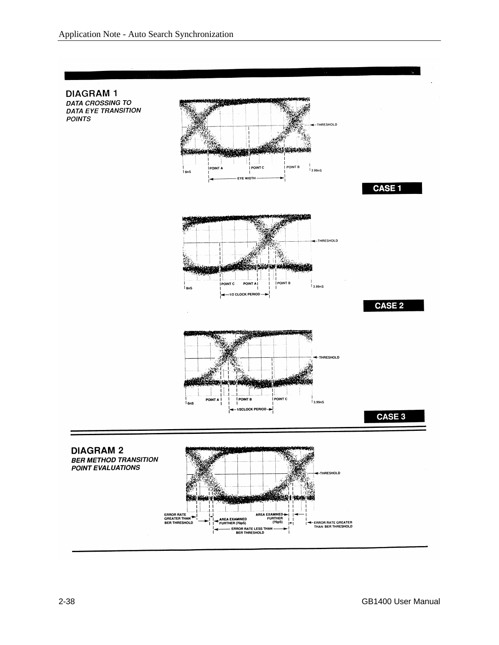**DIAGRAM1 DATA CROSSING TO DATA EYE TRANSITION POINTS** 



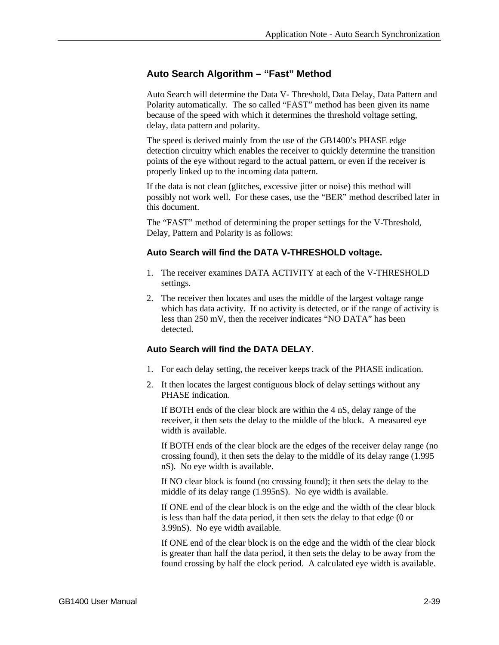## **Auto Search Algorithm – "Fast" Method**

Auto Search will determine the Data V- Threshold, Data Delay, Data Pattern and Polarity automatically. The so called "FAST" method has been given its name because of the speed with which it determines the threshold voltage setting, delay, data pattern and polarity.

The speed is derived mainly from the use of the GB1400's PHASE edge detection circuitry which enables the receiver to quickly determine the transition points of the eye without regard to the actual pattern, or even if the receiver is properly linked up to the incoming data pattern.

If the data is not clean (glitches, excessive jitter or noise) this method will possibly not work well. For these cases, use the "BER" method described later in this document.

The "FAST" method of determining the proper settings for the V-Threshold, Delay, Pattern and Polarity is as follows:

#### **Auto Search will find the DATA V-THRESHOLD voltage.**

- 1. The receiver examines DATA ACTIVITY at each of the V-THRESHOLD settings.
- 2. The receiver then locates and uses the middle of the largest voltage range which has data activity. If no activity is detected, or if the range of activity is less than 250 mV, then the receiver indicates "NO DATA" has been detected.

#### **Auto Search will find the DATA DELAY.**

- 1. For each delay setting, the receiver keeps track of the PHASE indication.
- 2. It then locates the largest contiguous block of delay settings without any PHASE indication.

If BOTH ends of the clear block are within the 4 nS, delay range of the receiver, it then sets the delay to the middle of the block. A measured eye width is available.

If BOTH ends of the clear block are the edges of the receiver delay range (no crossing found), it then sets the delay to the middle of its delay range (1.995 nS). No eye width is available.

If NO clear block is found (no crossing found); it then sets the delay to the middle of its delay range (1.995nS). No eye width is available.

If ONE end of the clear block is on the edge and the width of the clear block is less than half the data period, it then sets the delay to that edge (0 or 3.99nS). No eye width available.

If ONE end of the clear block is on the edge and the width of the clear block is greater than half the data period, it then sets the delay to be away from the found crossing by half the clock period. A calculated eye width is available.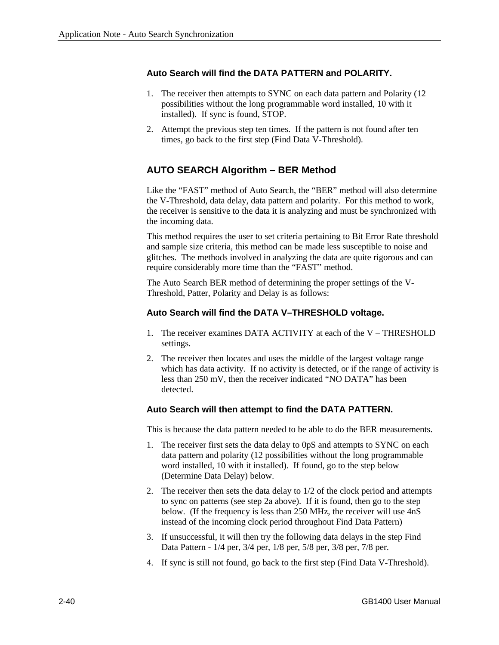#### **Auto Search will find the DATA PATTERN and POLARITY.**

- 1. The receiver then attempts to SYNC on each data pattern and Polarity (12 possibilities without the long programmable word installed, 10 with it installed). If sync is found, STOP.
- 2. Attempt the previous step ten times. If the pattern is not found after ten times, go back to the first step (Find Data V-Threshold).

# **AUTO SEARCH Algorithm – BER Method**

Like the "FAST" method of Auto Search, the "BER" method will also determine the V-Threshold, data delay, data pattern and polarity. For this method to work, the receiver is sensitive to the data it is analyzing and must be synchronized with the incoming data.

This method requires the user to set criteria pertaining to Bit Error Rate threshold and sample size criteria, this method can be made less susceptible to noise and glitches. The methods involved in analyzing the data are quite rigorous and can require considerably more time than the "FAST" method.

The Auto Search BER method of determining the proper settings of the V-Threshold, Patter, Polarity and Delay is as follows:

#### **Auto Search will find the DATA V–THRESHOLD voltage.**

- 1. The receiver examines DATA ACTIVITY at each of the V THRESHOLD settings.
- 2. The receiver then locates and uses the middle of the largest voltage range which has data activity. If no activity is detected, or if the range of activity is less than 250 mV, then the receiver indicated "NO DATA" has been detected.

#### **Auto Search will then attempt to find the DATA PATTERN.**

This is because the data pattern needed to be able to do the BER measurements.

- 1. The receiver first sets the data delay to 0pS and attempts to SYNC on each data pattern and polarity (12 possibilities without the long programmable word installed, 10 with it installed). If found, go to the step below (Determine Data Delay) below.
- 2. The receiver then sets the data delay to 1/2 of the clock period and attempts to sync on patterns (see step 2a above). If it is found, then go to the step below. (If the frequency is less than 250 MHz, the receiver will use 4nS instead of the incoming clock period throughout Find Data Pattern)
- 3. If unsuccessful, it will then try the following data delays in the step Find Data Pattern - 1/4 per, 3/4 per, 1/8 per, 5/8 per, 3/8 per, 7/8 per.
- 4. If sync is still not found, go back to the first step (Find Data V-Threshold).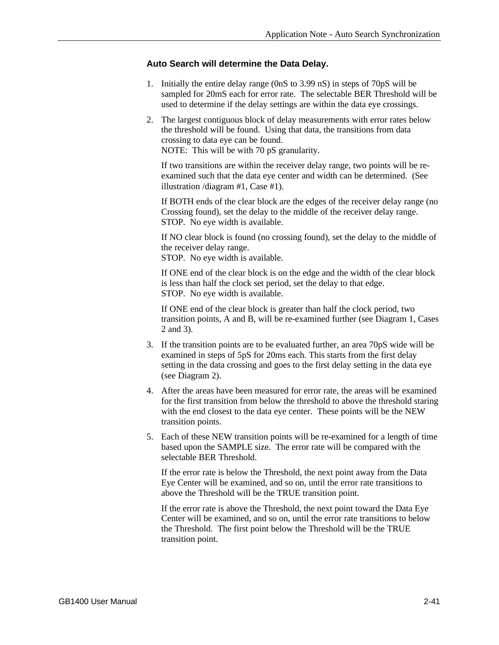#### **Auto Search will determine the Data Delay.**

- 1. Initially the entire delay range (0nS to 3.99 nS) in steps of 70pS will be sampled for 20mS each for error rate. The selectable BER Threshold will be used to determine if the delay settings are within the data eye crossings.
- 2. The largest contiguous block of delay measurements with error rates below the threshold will be found. Using that data, the transitions from data crossing to data eye can be found. NOTE: This will be with 70 pS granularity.

If two transitions are within the receiver delay range, two points will be reexamined such that the data eye center and width can be determined. (See illustration /diagram #1, Case #1).

If BOTH ends of the clear block are the edges of the receiver delay range (no Crossing found), set the delay to the middle of the receiver delay range. STOP. No eye width is available.

If NO clear block is found (no crossing found), set the delay to the middle of the receiver delay range.

STOP. No eye width is available.

If ONE end of the clear block is on the edge and the width of the clear block is less than half the clock set period, set the delay to that edge. STOP. No eye width is available.

If ONE end of the clear block is greater than half the clock period, two transition points, A and B, will be re-examined further (see Diagram 1, Cases 2 and 3).

- 3. If the transition points are to be evaluated further, an area 70pS wide will be examined in steps of 5pS for 20ms each. This starts from the first delay setting in the data crossing and goes to the first delay setting in the data eye (see Diagram 2).
- 4. After the areas have been measured for error rate, the areas will be examined for the first transition from below the threshold to above the threshold staring with the end closest to the data eye center. These points will be the NEW transition points.
- 5. Each of these NEW transition points will be re-examined for a length of time based upon the SAMPLE size. The error rate will be compared with the selectable BER Threshold.

If the error rate is below the Threshold, the next point away from the Data Eye Center will be examined, and so on, until the error rate transitions to above the Threshold will be the TRUE transition point.

If the error rate is above the Threshold, the next point toward the Data Eye Center will be examined, and so on, until the error rate transitions to below the Threshold. The first point below the Threshold will be the TRUE transition point.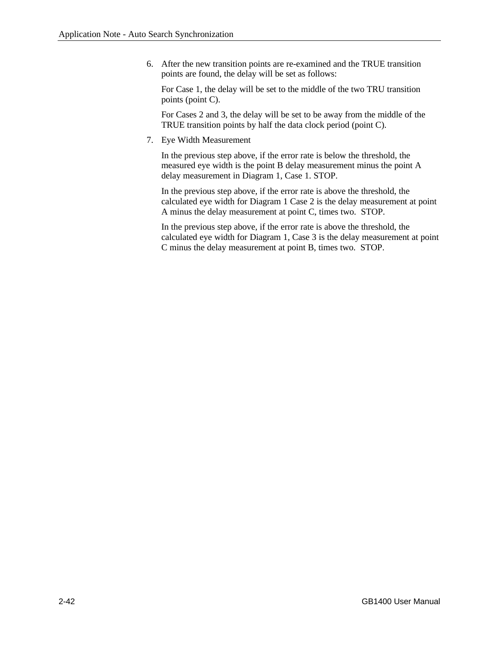6. After the new transition points are re-examined and the TRUE transition points are found, the delay will be set as follows:

For Case 1, the delay will be set to the middle of the two TRU transition points (point C).

For Cases 2 and 3, the delay will be set to be away from the middle of the TRUE transition points by half the data clock period (point C).

7. Eye Width Measurement

In the previous step above, if the error rate is below the threshold, the measured eye width is the point B delay measurement minus the point A delay measurement in Diagram 1, Case 1. STOP.

In the previous step above, if the error rate is above the threshold, the calculated eye width for Diagram 1 Case 2 is the delay measurement at point A minus the delay measurement at point C, times two. STOP.

In the previous step above, if the error rate is above the threshold, the calculated eye width for Diagram 1, Case 3 is the delay measurement at point C minus the delay measurement at point B, times two. STOP.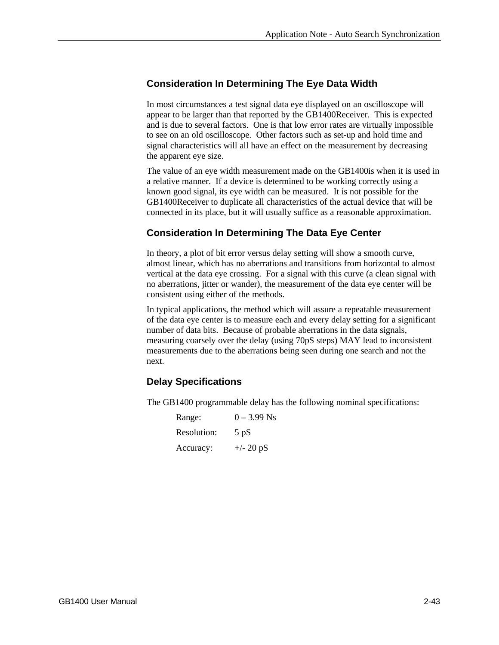# **Consideration In Determining The Eye Data Width**

In most circumstances a test signal data eye displayed on an oscilloscope will appear to be larger than that reported by the GB1400Receiver. This is expected and is due to several factors. One is that low error rates are virtually impossible to see on an old oscilloscope. Other factors such as set-up and hold time and signal characteristics will all have an effect on the measurement by decreasing the apparent eye size.

The value of an eye width measurement made on the GB1400is when it is used in a relative manner. If a device is determined to be working correctly using a known good signal, its eye width can be measured. It is not possible for the GB1400Receiver to duplicate all characteristics of the actual device that will be connected in its place, but it will usually suffice as a reasonable approximation.

# **Consideration In Determining The Data Eye Center**

In theory, a plot of bit error versus delay setting will show a smooth curve, almost linear, which has no aberrations and transitions from horizontal to almost vertical at the data eye crossing. For a signal with this curve (a clean signal with no aberrations, jitter or wander), the measurement of the data eye center will be consistent using either of the methods.

In typical applications, the method which will assure a repeatable measurement of the data eye center is to measure each and every delay setting for a significant number of data bits. Because of probable aberrations in the data signals, measuring coarsely over the delay (using 70pS steps) MAY lead to inconsistent measurements due to the aberrations being seen during one search and not the next.

# **Delay Specifications**

The GB1400 programmable delay has the following nominal specifications:

| Range:      | $0 - 3.99$ Ns       |
|-------------|---------------------|
| Resolution: | $5$ pS              |
| Accuracy:   | $+/- 20 \text{ pS}$ |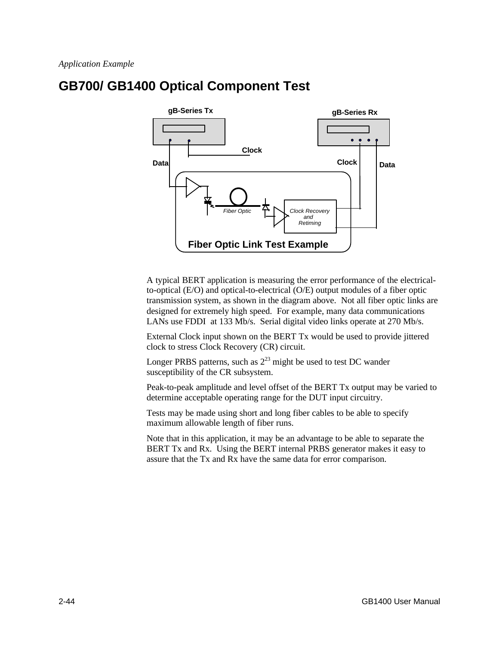# **GB700/ GB1400 Optical Component Test**



A typical BERT application is measuring the error performance of the electricalto-optical (E/O) and optical-to-electrical (O/E) output modules of a fiber optic transmission system, as shown in the diagram above. Not all fiber optic links are designed for extremely high speed. For example, many data communications LANs use FDDI at 133 Mb/s. Serial digital video links operate at 270 Mb/s.

External Clock input shown on the BERT Tx would be used to provide jittered clock to stress Clock Recovery (CR) circuit.

Longer PRBS patterns, such as  $2^{23}$  might be used to test DC wander susceptibility of the CR subsystem.

Peak-to-peak amplitude and level offset of the BERT Tx output may be varied to determine acceptable operating range for the DUT input circuitry.

Tests may be made using short and long fiber cables to be able to specify maximum allowable length of fiber runs.

Note that in this application, it may be an advantage to be able to separate the BERT Tx and Rx. Using the BERT internal PRBS generator makes it easy to assure that the Tx and Rx have the same data for error comparison.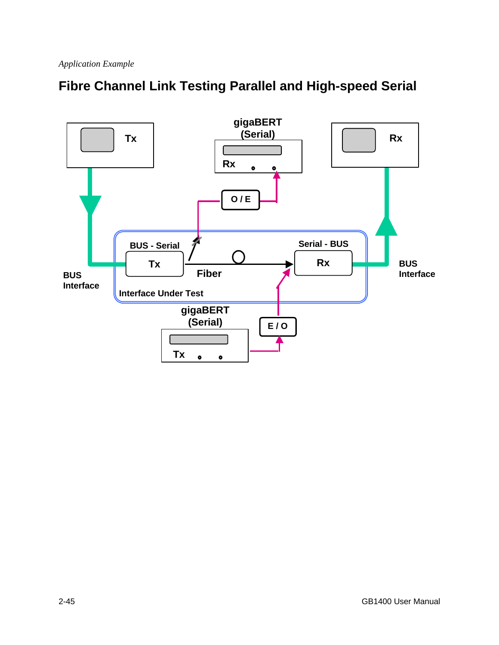

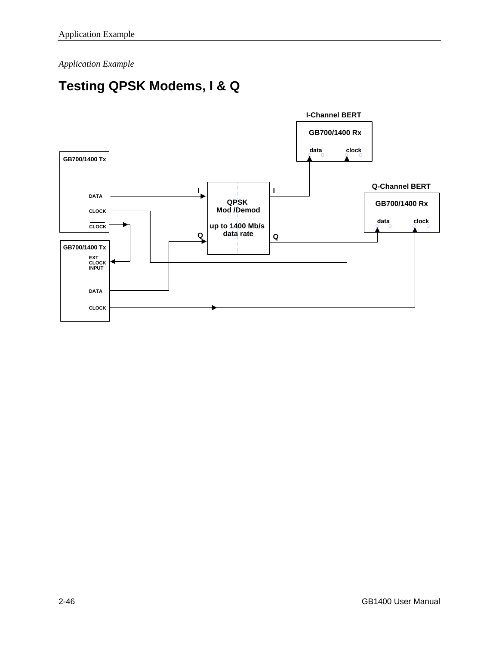*Application Example*

# **Testing QPSK Modems, I & Q**